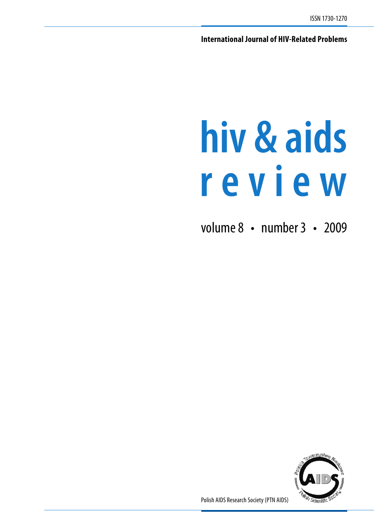**International Journal of HIV-Related Problems**

# **hiv & aids r e v i e w**

volume 8 • number 3 • 2009



Polish AIDS Research Society (PTN AIDS)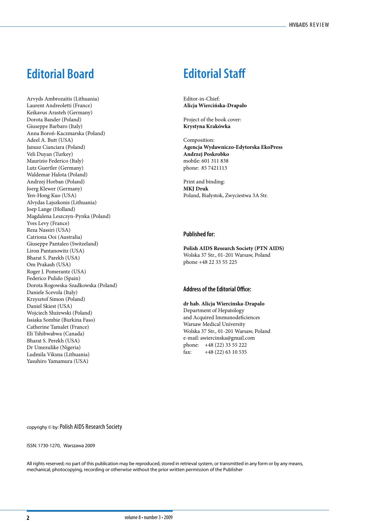# **Editorial Board Editorial Staff**

Arvyds Ambrozaitis (Lithuania) Laurent Andreoletti (France) Keikavus Arasteh (Germany) Dorota Bander (Poland) Giuseppe Barbaro (Italy) Anna Boroń-Kaczmarska (Poland) Adeel A. Butt (USA) Janusz Cianciara (Poland) Veli Duyan (Turkey) Maurizio Federico (Italy) Lutz Guertler (Germany) Waldemar Halota (Poland) Andrzej Horban (Poland) Joerg Klewer (Germany) Yen-Hong Kuo (USA) Alvydas Lajszkonis (Lithuania) Joep Lange (Holland) Magdalena Leszczyn-Pynka (Poland) Yves Levy (France) Reza Nassiri (USA) Catriona Ooi (Australia) Giuseppe Pantaleo (Switzeland) Liron Pantanowitz (USA) Bharat S. Parekh (USA) Om Prakash (USA) Roger J. Pomerantz (USA) Federico Pulido (Spain) Dorota Rogowska-Szadkowska (Poland) Daniele Scevola (Italy) Krzysztof Simon (Poland) Daniel Skiest (USA) Wojciech Służewski (Poland) Issiaka Sombie (Burkina Faso) Catherine Tamalet (France) Eli Tshibwabwa (Canada) Bharat S. Perekh (USA) Dr Umezulike (Nigeria) Ludmila Viksna (Lithuania) Yasuhiro Yamamura (USA)

Editor-in-Chief: **Alicja Wiercińska-Drapało**

Project of the book cover: **Krystyna Krakówka**

Composition: **Agencja Wydawniczo-Edytorska EkoPress Andrzej Poskrobko** mobile: 601 311 838 phone: 85 7421113

Print and binding: **MKJ Druk** Poland, Białystok, Zwyciestwa 3A Str.

#### **Published for:**

**Polish AIDS Research Society (PTN AIDS)** Wolska 37 Str., 01-201 Warsaw, Poland phone +48 22 33 55 225

#### **Address of the Editorial Office:**

**dr hab. Alicja Wiercinska-Drapalo** Department of Hepatology and Acquired Immunodeficiences Warsaw Medical University Wolska 37 Str., 01-201 Warsaw, Poland e-mail: awiercinska@gmail.com phone: +48 (22) 33 55 222 fax: +48 (22) 63 10 535

copyrighy © by: Polish AIDS Research Society

#### ISSN: 1730-1270, Warszawa 2009

All rights reserved; no part of this publication may be reproduced, stored in retrieval system, or transmitted in any form or by any means, mechanical, photocopying, recording or otherwise without the prior written permission of the Publisher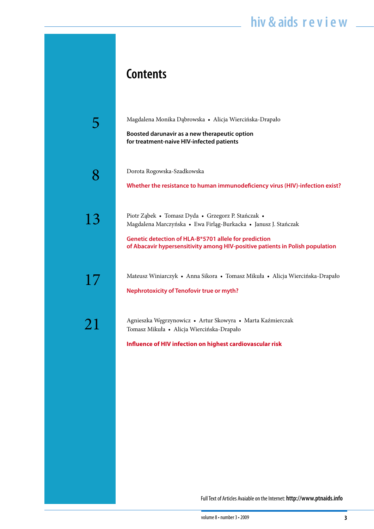# **Contents**

|    | Magdalena Monika Dąbrowska · Alicja Wiercińska-Drapało<br>Boosted darunavir as a new therapeutic option<br>for treatment-naive HIV-infected patients                                                                                                            |
|----|-----------------------------------------------------------------------------------------------------------------------------------------------------------------------------------------------------------------------------------------------------------------|
|    | Dorota Rogowska-Szadkowska<br>Whether the resistance to human immunodeficiency virus (HIV)-infection exist?                                                                                                                                                     |
|    | Piotr Ząbek • Tomasz Dyda • Grzegorz P. Stańczak •<br>Magdalena Marczyńska • Ewa Firlag-Burkacka • Janusz J. Stańczak<br>Genetic detection of HLA-B*5701 allele for prediction<br>of Abacavir hypersensitivity among HIV-positive patients in Polish population |
| 17 | Mateusz Winiarczyk • Anna Sikora • Tomasz Mikuła • Alicja Wiercińska-Drapało<br><b>Nephrotoxicity of Tenofovir true or myth?</b>                                                                                                                                |
| 21 | Agnieszka Węgrzynowicz • Artur Skowyra • Marta Kaźmierczak<br>Tomasz Mikuła · Alicja Wiercińska-Drapało<br>Influence of HIV infection on highest cardiovascular risk                                                                                            |

Full Text of Articles Avaiable on the Internet: **http://www.ptnaids.info**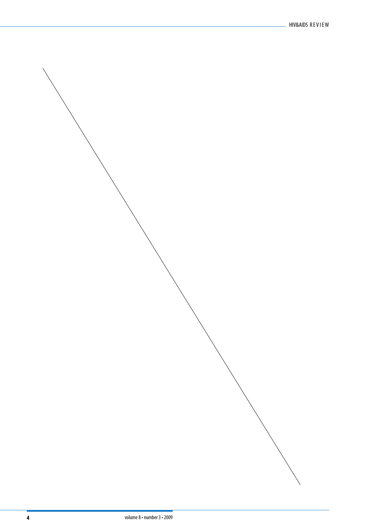**4** volume 8 • number 3 • 2009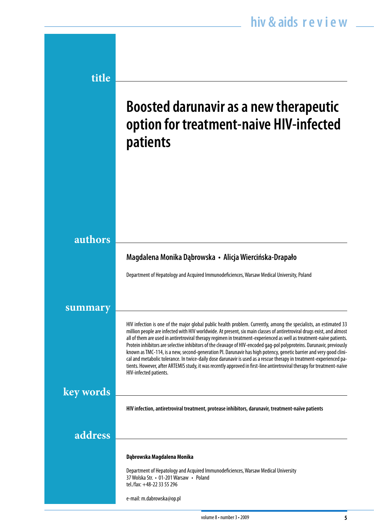| title     |                                                                                                                                                                                                                                                                                                                                                                                                                                                                                                                                                                                                                                                                                                                                                                                                                                                                                                 |
|-----------|-------------------------------------------------------------------------------------------------------------------------------------------------------------------------------------------------------------------------------------------------------------------------------------------------------------------------------------------------------------------------------------------------------------------------------------------------------------------------------------------------------------------------------------------------------------------------------------------------------------------------------------------------------------------------------------------------------------------------------------------------------------------------------------------------------------------------------------------------------------------------------------------------|
|           | <b>Boosted darunavir as a new therapeutic</b><br>option for treatment-naive HIV-infected<br>patients                                                                                                                                                                                                                                                                                                                                                                                                                                                                                                                                                                                                                                                                                                                                                                                            |
|           |                                                                                                                                                                                                                                                                                                                                                                                                                                                                                                                                                                                                                                                                                                                                                                                                                                                                                                 |
|           |                                                                                                                                                                                                                                                                                                                                                                                                                                                                                                                                                                                                                                                                                                                                                                                                                                                                                                 |
| authors   |                                                                                                                                                                                                                                                                                                                                                                                                                                                                                                                                                                                                                                                                                                                                                                                                                                                                                                 |
|           | Magdalena Monika Dąbrowska · Alicja Wiercińska-Drapało                                                                                                                                                                                                                                                                                                                                                                                                                                                                                                                                                                                                                                                                                                                                                                                                                                          |
|           | Department of Hepatology and Acquired Immunodeficiences, Warsaw Medical University, Poland                                                                                                                                                                                                                                                                                                                                                                                                                                                                                                                                                                                                                                                                                                                                                                                                      |
| summar    |                                                                                                                                                                                                                                                                                                                                                                                                                                                                                                                                                                                                                                                                                                                                                                                                                                                                                                 |
|           | HIV infection is one of the major global public health problem. Currently, among the specialists, an estimated 33<br>million people are infected with HIV worldwide. At present, six main classes of antiretroviral drugs exist, and almost<br>all of them are used in antiretroviral therapy regimen in treatment-experienced as well as treatment-naive patients.<br>Protein inhibitors are selective inhibitors of the cleavage of HIV-encoded gag-pol polyproteins. Darunavir, previously<br>known as TMC-114, is a new, second-generation PI. Darunavir has high potency, genetic barrier and very good clini-<br>cal and metabolic tolerance. In twice-daily dose darunavir is used as a rescue therapy in treatment-experienced pa-<br>tients. However, after ARTEMIS study, it was recently approved in first-line antiretroviral therapy for treatment-naïve<br>HIV-infected patients. |
| key words |                                                                                                                                                                                                                                                                                                                                                                                                                                                                                                                                                                                                                                                                                                                                                                                                                                                                                                 |
|           | HIV infection, antiretroviral treatment, protease inhibitors, darunavir, treatment-naïve patients                                                                                                                                                                                                                                                                                                                                                                                                                                                                                                                                                                                                                                                                                                                                                                                               |
| address   |                                                                                                                                                                                                                                                                                                                                                                                                                                                                                                                                                                                                                                                                                                                                                                                                                                                                                                 |
|           | Dąbrowska Magdalena Monika                                                                                                                                                                                                                                                                                                                                                                                                                                                                                                                                                                                                                                                                                                                                                                                                                                                                      |
|           | Department of Hepatology and Acquired Immunodeficiences, Warsaw Medical University<br>37 Wolska Str. • 01-201 Warsaw • Poland<br>tel./fax: +48-22 33 55 296                                                                                                                                                                                                                                                                                                                                                                                                                                                                                                                                                                                                                                                                                                                                     |
|           | e-mail: m.dabrowska@op.pl                                                                                                                                                                                                                                                                                                                                                                                                                                                                                                                                                                                                                                                                                                                                                                                                                                                                       |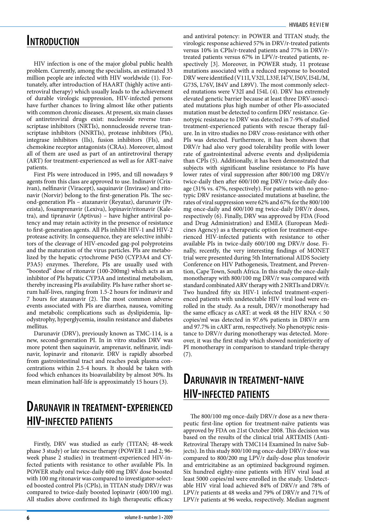### **Introduction**

HIV infection is one of the major global public health problem. Currently, among the specialists, an estimated 33 million people are infected with HIV worldwide (1). Fortunately, after introduction of HAART (highly active antiretroviral therapy) which usually leads to the achievement of durable virologic suppression, HIV-infected persons have further chances to living almost like other patients with common chronic diseases. At present, six main classes of antiretroviral drugs exist: nucleoside reverse transcriptase inhibitors (NRTIs), nonnucleoside reverse transcriptase inhibitors (NNRTIs), protease inhibitors (PIs), integrase inhibitors (IIs), fusion inhibitors (FIs), and chemokine receptor antagonists (CRAs). Moreover, almost all of them are used as part of an antiretroviral therapy (ART) for treatment-experienced as well as for ART-naive patients.

First PIs were introduced in 1995, and till nowadays 9 agents from this class are approved to use. Indinavir (Crixivan), nelfinavir (Viracept), saquinavir (Invirase) and ritonavir (Norvir) belong to the first-generation PIs. The second-generation PIs – atazanavir (Reyataz), darunavir (Prezista), fosamprenavir (Lexiva), lopinavir/ritonavir (Kaletra), and tipranavir (Aptivus) – have higher antiviral potency and may retain activity in the presence of resistance to first-generation agents. All PIs inhibit HIV-1 and HIV-2 protease activity. In consequence, they are selective inhibitors of the cleavage of HIV-encoded gag-pol polyproteins and the maturation of the virus particles. PIs are metabolized by the hepatic cytochrome P450 (CYP3A4 and CY-P3A5) enzymes. Therefore, PIs are usually used with "boosted" dose of ritonavir (100-200mg) which acts as an inhibitor of PIs hepatic CYP3A and intestinal metabolism, thereby increasing PIs availability. PIs have rather short serum half-lives, ranging from 1.5-2 hours for indinavir and 7 hours for atazanavir (2). The most common adverse events associated with PIs are diarrhea, nausea, vomiting and metabolic complications such as dyslipidemia, lipodystrophy, hyperglycemia, insulin resistance and diabetes mellitus.

Darunavir (DRV), previously known as TMC-114, is a new, second-generation PI. In in vitro studies DRV was more potent then saquinavir, amprenavir, nelfinavir, indinavir, lopinavir and ritonavir. DRV is rapidly absorbed from gastrointestinal tract and reaches peak plasma concentrations within 2.5-4 hours. It should be taken with food which enhances its bioavailability by almost 30%. Its mean elimination half-life is approximately 15 hours (3).

### **Darunavir in treatment-experienced HIV-infected patients**

Firstly, DRV was studied as early (TITAN; 48-week phase 3 study) or late rescue therapy (POWER 1 and 2; 96 week phase 2 studies) in treatment-experienced HIV-infected patients with resistance to other available PIs. In POWER study oral twice-daily 600 mg DRV dose boosted with 100 mg ritonavir was compared to investigator-selected boosted control PIs (CPIs), in TITAN study DRV/r was compared to twice-daily boosted lopinavir (400/100 mg). All studies above confirmed its high therapeutic efficacy

and antiviral potency: in POWER and TITAN study, the virologic response achieved 57% in DRV/r-treated patients versus 10% in CPIs/r-treated patients and 77% in DRV/rtreated patients versus 67% in LPV/r-treated patients, respectively [3]. Moreover, in POWER study, 11 protease mutations associated with a reduced response to boosted DRV were identified (V11I, V32I, L33F, I47V, I50V, I54L/M, G73S, L76V, I84V and L89V). The most commonly selected mutations were V32I and I54L (4). DRV has extremely elevated genetic barrier because at least three DRV-associated mutations plus high number of other PIs-associated mutation must be detected to confirm DRV resistance. Genotypic resistance to DRV was detected in 7-9% of studied treatment-experienced patients with rescue therapy failure. In in vitro studies no DRV cross-resistance with other PIs was detected. Furthermore, it has been shown that DRV/r had also very good tolerability profile with lower rate of gastrointestinal adverse events and dyslipidemia than CPIs (5). Additionally, it has been demonstrated that subjects with significant baseline resistance to PIs have lower rates of viral suppression after 800/100 mg DRV/r twice-daily then after 600/100 mg DRV/r twice-daily dosage (31% vs. 47%, respectively). For patients with no genotypic DRV resistance-associated mutations at baseline, the rates of viral suppression were 62% and 67% for the 800/100 mg once-daily and 600/100 mg twice-daily DRV/r doses, respectively (6). Finally, DRV was approved by FDA (Food and Drug Administration) and EMEA (European Medicines Agency) as a therapeutic option for treatment-experienced HIV-infected patients with resistance to other available PIs in twice-daily 600/100 mg DRV/r dose. Finally, recently, the very interesting findings of MONET trial were presented during 5th International AIDS Society Conference on HIV Pathogenesis, Treatment, and Prevention, Cape Town, South Africa. In this study the once-daily monotherapy with 800/100 mg DRV/r was compared with standard combinated ARV therapy with 2 NRTIs and DRV/r. Two hundred fifty six HIV-1 infected treatment-experienced patients with undetectable HIV viral load were enrolled in the study. As a result, DRV/r monotherapy had the same efficacy as cART: at week 48 the HIV RNA < 50 copies/ml was detected in 97.6% patients in DRV/r arm and 97.7% in cART arm, respectively. No phenotypic resistance to DRV/r during monotherapy was detected. Moreover, it was the first study which showed noninferiority of PI monotherapy in comparison to standard triple-therapy (7).

### **Darunavir in treatment-naive HIV-infected patients**

The 800/100 mg once-daily DRV/r dose as a new therapeutic first-line option for treatment-naïve patients was approved by FDA on 21st October 2008. This decision was based on the results of the clinical trial ARTEMIS (Anti-Retroviral Therapy with TMC114 Examined In naive Subjects). In this study 800/100 mg once-daily DRV/r dose was compared to 800/200 mg LPV/r daily-dose plus tenofovir and emtricitabine as an optimized background regimen. Six hundred eighty-nine patients with HIV viral load at least 5000 copies/ml were enrolled in the study. Undetectable HIV viral load achieved 84% of DRV/r and 78% of LPV/r patients at 48 weeks and 79% of DRV/r and 71% of LPV/r patients at 96 weeks, respectively. Median augment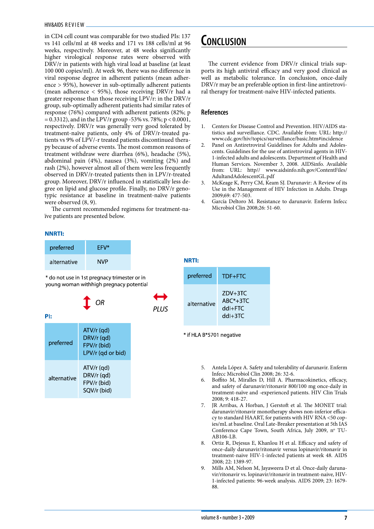in CD4 cell count was comparable for two studied PIs: 137 vs 141 cells/ml at 48 weeks and 171 vs 188 cells/ml at 96 weeks, respectively. Moreover, at 48 weeks significantly higher virological response rates were observed with DRV/r in patients with high viral load at baseline (at least 100 000 copies/ml). At week 96, there was no difference in viral response degree in adherent patients (mean adherence > 95%), however in sub-optimally adherent patients (mean adherence  $<$  95%), those receiving DRV/r had a greater response than those receiving LPV/r: in the DRV/r group, sub-optimally adherent patients had similar rates of response (76%) compared with adherent patients (82%; p = 0.3312), and in the LPV/r group -53% vs. 78%; p < 0.0001, respectively. DRV/r was generally very good tolerated by treatment-naïve patients, only 4% of DRV/r-treated patients vs 9% of LPV/-r treated patients discontinued therapy because of adverse events. The most common reasons of treatment withdraw were diarrhea (6%), headache (5%), abdominal pain (4%), nausea (3%), vomiting (2%) and rash (2%), however almost all of them were less frequently observed in DRV/r-treated patients then in LPV/r-treated group. Moreover, DRV/r influenced in statistically less degree on lipid and glucose profile. Finally, no DRV/r genotypic resistance at baseline in treatment-naïve patients were observed (8, 9).

The current recommended regimens for treatment-naïve patients are presented below.

#### **NNRTI:**

| preferred   | EFV* |
|-------------|------|
| alternative | NVP  |

\* do not use in 1st pregnacy trimester or in young woman withhigh pregnacy potential

| PI:         | ЭR                                                             | PI US |
|-------------|----------------------------------------------------------------|-------|
| preferred   | $ATV/r$ (qd)<br>DRV/r (qd)<br>FPV/r (bid)<br>LPV/r (qd or bid) |       |
| alternative | $AY/r$ (qd)<br>DRV/r (qd)<br>FPV/r (bid)<br>SQV/r (bid)        |       |

### **Conclusion**

The current evidence from DRV/r clinical trials supports its high antiviral efficacy and very good clinical as well as metabolic tolerance. In conclusion, once-daily DRV/r may be an preferable option in first-line antiretroviral therapy for treatment-naïve HIV-infected patients.

#### **References**

- 1. Centers for Disease Control and Prevention. HIV/AIDS statistics and surveillance. CDC. Available from: URL: http:// www.cdc.gov/hiv/topics/surveillance/basic.htm#incidence
- 2. Panel on Antiretroviral Guidelines for Adults and Adolescents. Guidelines for the use of antiretroviral agents in HIV-1-infected adults and adolescents. Department of Health and Human Services. November 3, 2008. AIDSinfo. Available from: URL: http// www.aidsinfo.nih.gov/ContentFiles/ AdultandAdolescentGL.pdf
- McKeage K, Perry CM, Keam SJ. Darunavir: A Review of its Use in the Management of HIV Infection in Adults. Drugs 2009;69: 477-503.
- 4. García Deltoro M. Resistance to darunavir. Enferm Infecc Microbiol Clin 2008;26: 51-60.

### preferred

**NRTI:** 

| alternative | $ZDV + 3TC$<br>$ABC^*+3TC$<br>$ddl + FTC$ |
|-------------|-------------------------------------------|
|             | $ddl + 3TC$                               |

TDF+FTC

\* if HLA B\*5701 negative

- 5. Antela López A. Safety and tolerability of darunavir. Enferm Infecc Microbiol Clin 2008; 26: 32-6.
- 6. Boffito M, Miralles D, Hill A. Pharmacokinetics, efficacy, and safety of darunavir/ritonavir 800/100 mg once-daily in treatment-naïve and -experienced patients. HIV Clin Trials 2008; 9: 418-27.
- JR Arribas, A Horban, J Gerstoft et al. The MONET trial: darunavir/ritonavir monotherapy shows non-inferior efficacy to standard HAART, for patients with HIV RNA <50 copies/mL at baseline. Oral Late-Breaker presentation at 5th IAS Conference Cape Town, South Africa, July 2009, nº TU-AB106-LB.
- 8. Ortiz R, Dejesus E, Khanlou H et al. Efficacy and safety of once-daily darunavir/ritonavir versus lopinavir/ritonavir in treatment-naive HIV-1-infected patients at week 48. AIDS 2008; 22: 1389-97.
- 9. Mills AM, Nelson M, Jayaweera D et al. Once-daily darunavir/ritonavir vs. lopinavir/ritonavir in treatment-naive, HIV-1-infected patients: 96-week analysis. AIDS 2009; 23: 1679- 88.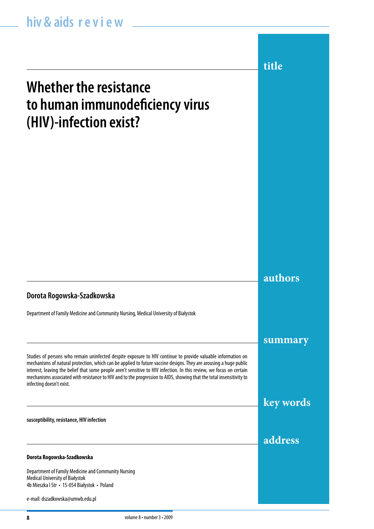# **Whether the resistance to human immunodeficiency virus (HIV)-infection exist?**

**title**

|                                                                                                                                                                                                                                                                                                                                                                                                                                                                                                               | authors   |
|---------------------------------------------------------------------------------------------------------------------------------------------------------------------------------------------------------------------------------------------------------------------------------------------------------------------------------------------------------------------------------------------------------------------------------------------------------------------------------------------------------------|-----------|
| Dorota Rogowska-Szadkowska                                                                                                                                                                                                                                                                                                                                                                                                                                                                                    |           |
| Department of Family Medicine and Community Nursing, Medical University of Białystok                                                                                                                                                                                                                                                                                                                                                                                                                          |           |
|                                                                                                                                                                                                                                                                                                                                                                                                                                                                                                               | summary   |
| Studies of persons who remain uninfected despite exposure to HIV continue to provide valuable information on<br>mechanisms of natural protection, which can be applied to future vaccine designs. They are arousing a huge public<br>interest, leaving the belief that some people aren't sensitive to HIV infection. In this review, we focus on certain<br>mechanisms associated with resistance to HIV and to the progression to AIDS, showing that the total insensitivity to<br>infecting doesn't exist. |           |
|                                                                                                                                                                                                                                                                                                                                                                                                                                                                                                               | key words |
| susceptibility, resistance, HIV infection                                                                                                                                                                                                                                                                                                                                                                                                                                                                     |           |
|                                                                                                                                                                                                                                                                                                                                                                                                                                                                                                               | address   |
| Dorota Rogowska-Szadkowska                                                                                                                                                                                                                                                                                                                                                                                                                                                                                    |           |
| Department of Family Medicine and Community Nursing<br><b>Medical University of Białystok</b><br>4b Mieszka I Str · 15-054 Białystok · Poland                                                                                                                                                                                                                                                                                                                                                                 |           |
| e-mail: dszadkowska@umwb.edu.pl                                                                                                                                                                                                                                                                                                                                                                                                                                                                               |           |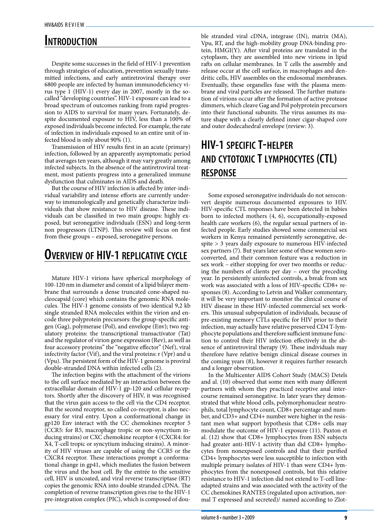# **Introduction**

Despite some successes in the field of HIV-1 prevention through strategies of education, prevention sexually transmitted infections, and early antiretroviral therapy over 6800 people are infected by human immunodeficiency virus type 1 (HIV-1) every day in 2007, mostly in the socalled "developing countries". HIV-1 exposure can lead to a broad spectrum of outcomes ranking from rapid progression to AIDS to survival for many years. Fortunately, despite documented exposure to HIV, less than a 100% of exposed individuals become infected. For example, the rate of infection in individuals exposed to an entire unit of infected blood is only about 90% (1).

Transmission of HIV results first in an acute (primary) infection, followed by an apparently asymptomatic period that averages ten years, although it may vary greatly among infected subjects. In the absence of the antiretroviral treatment, most patients progress into a generalized immune dysfunction that culminates in AIDS and death.

But the course of HIV infection is affected by inter-individual variability and intense efforts are currently underway to immunologically and genetically characterize individuals that show resistance to HIV disease. These individuals can be classified in two main groups: highly exposed, but seronegative individuals (ESN) and long-term non progressors (LTNP). This review will focus on first from these groups – exposed, seronegative persons.

### **Overview of HIV-1 replicative cycle**

Mature HIV-1 virions have spherical morphology of 100-120 nm in diameter and consist of a lipid bilayer membrane that surrounds a dense truncated cone-shaped nucleocapsid (core) which contains the genomic RNA molecules. The HIV-1 genome consists of two identical 9,2 kb single stranded RNA molecules within the virion and encode three polyprotein precursors: the group-specific antigen (Gag), polymerase (Pol), and envelope (Env); two regulatory proteins: the transcriptional transactivator (Tat) and the regulator of virion gene expression (Rev), as well as four accessory proteins" the "negative effector" (Nef), viral infectivity factor (Vif), and the viral proteins: r (Vpr) and u (Vpu). The persistent form of the HIV-1 genome is proviral double-stranded DNA within infected cells (2).

The infection begins with the attachment of the virions to the cell surface mediated by an interaction between the extracellular domain of HIV-1 gp-120 and cellular receptors. Shortly after the discovery of HIV, it was recognised that the virus gain access to the cell via the CD4 receptor. But the second receptor, so called co-receptor, is also necessary for viral entry. Upon a conformational change in gp120 Env interact with the CC chemokines receptor 5 (CCR5: for R5, macrophage tropic or non-syncytium inducing strains) or CXC chemokine receptor 4 (CXCR4: for X4, T-cell tropic or syncytium inducing strains). A minority of HIV viruses are capable of using the CCR5 or the CXCR4 receptor. These interactions prompt a conformational change in gp41, which mediates the fusion between the virus and the host cell. By the entrée to the sensitive cell, HIV is uncoated, and viral reverse transcriptase (RT) copies the genomic RNA into double stranded cDNA. The completion of reverse transcription gives rise to the HIV-1 pre-integration complex (PIC), which is composed of double stranded viral cDNA, integrase (IN), matrix (MA), Vpu, RT, and the high-mobility group DNA-binding protein, HMGI(Y). After viral proteins are translated in the cytoplasm, they are assembled into new virions in lipid rafts on cellular membranes. In T cells the assembly and release occur at the cell surface, in macrophages and dendritic cells, HIV assembles on the endosomal membranes. Eventually, these organelles fuse with the plasma membrane and viral particles are released. The further maturation of virions occur after the formation of active protease dimmers, which cleave Gag and Pol polyprotein precursors into their functional subunits. The virus assumes its mature shape with a clearly defined inner cigar-shaped core and outer dodecahedral envelope (review: 3).

### **HIV-1 specific T-helper and cytotoxic T lymphocytes (CTL) response**

Some exposed seronegative individuals do not seroconvert despite numerous documented exposures to HIV. HIV-specific CTL responses have been detected in babies born to infected mothers (4, 6), occupationally-exposed health care workers (6), the regular sexual partners of infected people. Early studies showed some commercial sex workers in Kenya remained persistently seronegative, despite > 3 years daily exposure to numerous HIV-infected sex partners (7). But years later some of these women seroconverted, and their common feature was a reduction in sex work – either stopping for over two months or reducing the numbers of clients per day – over the preceding year. In persistently uninfected controls, a break from sex work was associated with a loss of HIV-specific CD8+ responses (8). According to Letvin and Walker commentary, it will be very important to monitor the clinical course of HIV disease in these HIV-infected commercial sex workers. This unusual subpopulation of individuals, because of pre-existing memory CTLs specific for HIV prior to their infection, may actually have relative preserved CD4 T-lymphocyte populations and therefore sufficient immune function to control their HIV infection effectively in the absence of antiretroviral therapy (9). These individuals may therefore have relative benign clinical disease courses in the coming years (8), however it requires further research and a longer observation.

In the Multicenter AIDS Cohort Study (MACS) Detels and al. (10) observed that some men with many different partners with whom they practiced receptive anal intercourse remained seronegative. In later years they demonstrated that white blood cells, polymorphonuclear neutrophils, total lymphocyte count, CD8+ percentage and number, and CD3+ and CD4+ number were higher in the resistant men what support hypothesis that CD8+ cells may modulate the outcome of HIV-1 exposure (11). Paxton et al. (12) show that CD8+ lymphocytes from ESN subjects had greater anti-HIV-1 activity than did CD8+ lymphocytes from nonexposed controls and that their purified CD4+ lymphocytes were less susceptible to infection with multiple primary isolates of HIV-1 than were CD4+ lymphocytes from the nonexposed controls, but this relative resistance to HIV-1 infection did not extend to T-cell lineadapted strains and was associated with the activity of the CC chemokines RANTES (regulated upon activation, normal T expressed and secreted)/ named according to Zlot-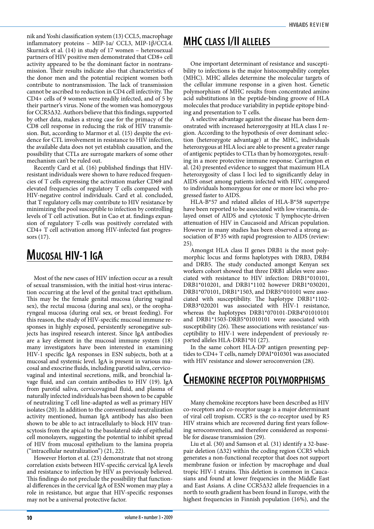nik and Yoshi classification system (13) CCL5, macrophage inflammatory proteins – MIP-1α/ CCL3, MIP-1β/CCL4. Skurnick et al. (14) in study of 17 women – heterosexual partners of HIV positive men demonstrated that CD8+ cell activity appeared to be the dominant factor in nontransmission. Their results indicate also that characteristics of the donor men and the potential recipient women both contribute to nontransmission. The lack of transmission cannot be ascribed to reduction in CD4 cell infectivity. The CD4+ cells of 9 women were readily infected, and of 5 by their partner's virus. None of the women was homozygous for CCR5Δ32. Authors believe that this findings, supported by other data, makes a strong case for the primacy of the CD8 cell response in reducing the risk of HIV transmission. But, according to Marmor et al. (15) despite the evidence for CTL involvement in resistance to HIV infection, the available data does not yet establish causation, and the possibility that CTLs are surrogate markers of some other mechanism can't be ruled out.

Recently Card et al. (16) published findings that HIVresistant individuals were shown to have reduced frequencies of T cells expressing the activation marker CD69 and elevated frequencies of regulatory T cells compared with HIV-negative control individuals. Card et al. concluded, that T regulatory cells may contribute to HIV resistance by minimizing the pool susceptible to infection by controlling levels of T cell activation. But in Cao et at. findings expansion of regulatory T-cells was positively correlated with CD4+ T cell activation among HIV-infected fast progressors (17).

### **Mucosal HIV-1 IgA**

Most of the new cases of HIV infection occur as a result of sexual transmission, with the initial host-virus interaction occurring at the level of the genital tract epithelium. This may be the female genital mucosa (during vaginal sex), the rectal mucosa (during anal sex), or the oropharyngeal mucosa (during oral sex, or breast feeding). For this reason, the study of HIV-specific mucosal immune responses in highly exposed, persistently seronegative subjects has inspired research interest. Since IgA antibodies are a key element in the mucosal immune system (18) many investigators have been interested in examining HIV-1 specific IgA responses in ESN subjects, both at a mucosal and systemic level. IgA is present in various mucosal and exocrine fluids, including parotid saliva, cervicovaginal and intestinal secretions, milk, and bronchial lavage fluid, and can contain antibodies to HIV (19). IgA from parotid saliva, cervicovaginal fluid, and plasma of naturally infected individuals has been shown to be capable of neutralizing T cell line-adapted as well as primary HIV isolates (20). In addition to the conventional neutralization activity mentioned, human IgA antibody has also been shown to be able to act intracellularly to block HIV transcytosis from the apical to the basolateral side of epithelial cell monolayers, suggesting the potential to inhibit spread of HIV from mucosal epithelium to the lamina propria ("intracellular neutralization") (21, 22).

However Horton et al. (23) demonstrate that not strong correlation exists between HIV-specific cervical IgA levels and resistance to infection by HIV as previously believed. This findings do not preclude the possibility that functional differences in the cervical IgA of ESN women may play a role in resistance, but argue that HIV-specific responses may not be a universal protective factor.

### **MHCclass I/II alleles**

One important determinant of resistance and susceptibility to infections is the major histocompability complex (MHC). MHC alleles determine the molecular targets of the cellular immune response in a given host. Genetic polymorphism of MHC results from concentrated amino acid substitutions in the peptide-binding groove of HLA molecules that produce variability in peptide epitope binding and presentation to T cells.

A selective advantage against the disease has been demonstrated with increased heterozygosity at HLA class I region. According to the hypothesis of over dominant selection (heterozygote advantage) at the MHC, individuals heterozygous at HLA loci are able to present a greater range of antigenic peptides to CTLs than by homozygotes, resulting in a more protective immune response. Carrington et al. (24) presented evidence to suggest that maximum HLA heterozygosity of class I loci led to significantly delay in AIDS onset among patients infected with HIV, compared to individuals homozygous for one or more loci who progressed faster to AIDS.

HLA-B\*57 and related alleles of HLA-B\*58 supertype have been reported to be associated with low viraemia, delayed onset of AIDS and cytotoxic T lymphocyte-driven attenuation of HIV in Caucasoid and African population. However in many studies has been observed a strong association of B\*35 with rapid progression to AIDS (review: 25).

Amongst HLA class II genes DRB1 is the most polymorphic locus and forms haplotypes with DRB3, DRB4 and DRB5. The study conducted amongst Kenyan sex workers cohort showed that three DRB1 alleles were associated with resistance to HIV infection: DRB1\*010101, DRB1\*010201, and DRB1\*1102 however DRB1\*030201, DRB1\*070101, DRB1\*1503, and DRB5\*010101 were associated with susceptibility. The haplotype DRB1\*1102- DRB3\*020201 was associated with HIV-1 resistance, whereas the haplotypes DRB1\*070101-DRB4\*01010101 and DRB1\*1503-DRB5\*01010101 were associated with susceptibility (26). These associations with resistance/ susceptibility to HIV-1 were independent of previously reported alleles HLA-DRB1\*01 (27).

In the same cohort HLA-DP antigen presenting peptides to CD4+ T cells, namely DPAI\*010301 was associated with HIV resistance and slower seroconversion (28).

### **Chemokine receptor polymorphisms**

Many chemokine receptors have been described as HIV co-receptors and co-receptor usage is a major determinant of viral cell tropism. CCR5 is the co-receptor used by R5 HIV strains which are recovered during first years following seroconversion, and therefore considered as responsible for disease transmission (29).

Liu et al. (30) and Samson et al. (31) identify a 32-basepair deletion  $(\Delta 32)$  within the coding region CCR5 which generates a non-functional receptor that does not support membrane fusion or infection by macrophage and dual tropic HIV-1 strains. This deletion is common in Caucasians and found at lower frequencies in the Middle East and East Asians. A cline CCR5Δ32 allele frequencies in a north to south gradient has been found in Europe, with the highest frequencies in Finnish population (16%), and the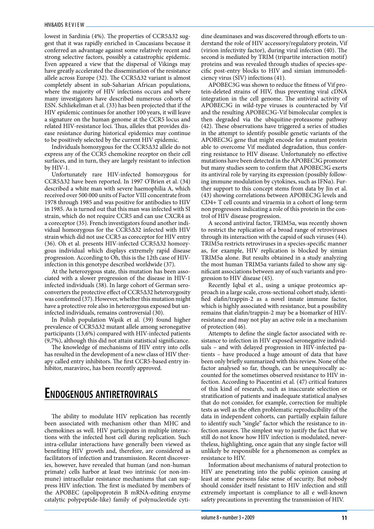lowest in Sardinia (4%). The properties of CCR5Δ32 suggest that it was rapidly enriched in Caucasians because it conferred an advantage against some relatively recent and strong selective factors, possibly a catastrophic epidemic. Even appeared a view that the dispersal of Vikings may have greatly accelerated the dissemination of the resistance allele across Europe (32). The CCR5Δ32 variant is almost completely absent in sub-Saharian African populations, where the majority of HIV infections occurs and where many investigators have described numerous cohorts of ESN. Schliekelman et al. (33) has been projected that if the HIV epidemic continues for another 100 years, it will leave a signature on the human genome at the CCR5 locus and related HIV-resistance loci. Thus, alleles that provides disease resistance during historical epidemics may continue to be positively selected by the current HIV epidemic.

Individuals homozygous for the CCR5Δ32 allele do not express any of the CCR5 chemokine receptor on their cell surfaces, and in turn, they are largely resistant to infection by HIV-1.

Unfortunately rare HIV-infected homozygous for CCR5Δ32 have been reported. In 1997 O'Brien et al. (34) described a white man with severe haemophilia A, which received over 500 000 units of Factor VIII concentrate from 1978 through 1985 and was positive for antibodies to HIV in 1985. As is turned out that this man was infected with SI strain, which do not require CCR5 and can use CXCR4 as a coreceptor (35). French investigators found another individual homozygous for the CCR5Δ32 infected with HIV strain which did not use CCR5 as coreceptor for HIV entry (36). Oh et al. presents HIV-infected CCR5Δ32 homozygous individual which displays extremely rapid disease progression. According to Oh, this is the 12th case of HIVinfection in this genotype described worldwide (37).

At the heterozygous state, this mutation has been associated with a slower progression of the disease in HIV-1 infected individuals (38). In large cohort of German seroconverters the protective effect of CCR5Δ32 heterozygosity was confirmed (37). However, whether this mutation might have a protective role also in heterozygous exposed but uninfected individuals, remains controversial (30).

In Polish population Wąsik et al. (39) found higher prevalence of CCR5Δ32 mutant allele among seronegative participants (13,6%) compared with HIV-infected patients (9,7%), although this did not attain statistical significance.

The knowledge of mechanisms of HIV entry into cells has resulted in the development of a new class of HIV therapy called entry inhibitors. The first CCR5-based entry inhibitor, maraviroc, has been recently approved.

### **Endogenous antiretrovirals**

The ability to modulate HIV replication has recently been associated with mechanism other than MHC and chemokines as well. HIV participates in multiple interactions with the infected host cell during replication. Such intra-cellular interactions have generally been viewed as benefiting HIV growth and, therefore, are considered as facilitators of infection and transmission. Recent discoveries, however, have revealed that human (and non-human primate) cells harbor at least two intrinsic (or non-immune) intracellular resistance mechanisms that can suppress HIV infection. The first is mediated by members of the APOBEC (apolipoprotein B mRNA-editing enzyme catalytic polypeptide-like) family of polynucleotide cytidine deaminases and was discovered through efforts to understand the role of HIV accessory/regulatory protein, Vif (virion infectivity factor), during viral infection (40). The second is mediated by TRIM (tripartite interaction motif) proteins and was revealed through studies of species-specific post-entry blocks to HIV and simian immunodeficiency virus (SIV) infections (41).

APOBEC3G was shown to reduce the fitness of Vif protein-deleted strains of HIV, thus preventing viral cDNA integration in the cell genome. The antiviral activity of APOBEC3G in wild-type viruses is counteracted by Vif and the resulting APOBEC3G-Vif bimolecular complex is then degraded via the ubiquitine-proteasome pathway (42). These observations have triggered a series of studies in the attempt to identify possible genetic variants of the APOBEC3G gene that might encode for a mutant protein able to overcome Vif mediated degradation, thus conferring resistance to HIV disease. Unfortunately no effective mutations have been detected in the APOBEC3G promoter but many studies seem to confirm that APOBEC3G exerts its antiviral role by varying its expression (possibly following immune modulation by cytokines, such as IFNα). Further support to this concept stems from data by Jin et al. (43) showing correlations between APOBEC3G levels and CD4+ T cell counts and viraemia in a cohort of long-term non progressors indicating a role of this protein in the control of HIV disease progression.

A second antiviral factor, TRIM5α, was recently shown to restrict the replication of a broad range of retroviruses through its interaction with the capsid of such viruses (44). TRIM5α restricts retroviruses in a species-specific manner as, for example, HIV replication is blocked by simian TRIM5α alone. But results obtained in a study analyzing the most human TRIM5α variants failed to show any significant associations between any of such variants and progression to HIV disease (45).

Recently Iqbal et al., using a unique proteomics approach in a large scale, cross-sectional cohort study, identified elafin/trappin-2 as a novel innate immune factor, which is highly associated with resistance, but a possibility remains that elafin/trappin-2 may be a biomarker of HIVresistance and may not play an active role in a mechanism of protection (46).

Attempts to define the single factor associated with resistance to infection in HIV exposed seronegative individuals – and with delayed progression in HIV-infected patients – have produced a huge amount of data that have been only briefly summarized with this review. None of the factor analysed so far, though, can be unequivocally accounted for the sometimes observed resistance to HIV infection. According to Piacentini et al. (47) critical features of this kind of research, such as inaccurate selection or stratification of patients and inadequate statistical analyses that do not consider, for example, correction for multiple tests as well as the often problematic reproducibility of the data in independent cohorts, can partially explain failure to identify such "single" factor which the resistance to infection assures. The simplest way to justify the fact that we still do not know how HIV infection is modulated, nevertheless, highlighting, once again that any single factor will unlikely be responsible for a phenomenon as complex as resistance to HIV.

Information about mechanisms of natural protection to HIV are penetrating into the public opinion causing at least at some persons false sense of security. But nobody should consider itself resistant to HIV infection and still extremely important is compliance to all e well-known safety precautions in preventing the transmission of HIV.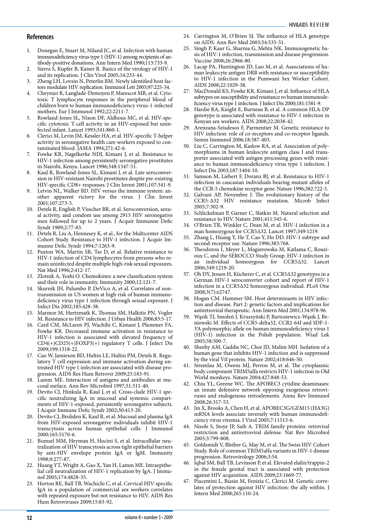#### **References**

- 1. Donegan E, Stuart M, Niland JC, et al. Infection with human immunodeficiency virus type 1 (HIV-1) among recipients of antibody-positive donations. Ann Intern Med 1990;113:733-9.
- 2. Sierra S, Kupfer B, Kaiser R. Basics of the virology of HIV-1 and its replication. J Clin Virol 2005;34:233-44.
- 3. Zheng LH, Lovsin N, Peterlin BM. Newly identified host factors modulate HIV replication. Immunol Lett 2005;97:225-34.
- 4. Cheynier R, Langlade-Demoyen P, Marescot MR, et al. Cytotoxic T lymphocyte responses in the peripheral blood of children born to human immunodeficiency virus-1-infected mothers. Eur J Immunol 1992;22:2211-7.
- 5. Rowland-Jones SL, Nixon DF, Aldhous MC, et al. HIV-specific cytotoxic T-cell activity in an HIV-exposed but uninfected infant. Lancet 1993;341:860-1.
- 6. Clerici M, Levin JM, Kessler HA, et al. HIV-specific T-helper activity in seronegative health care workers exposed to contaminated blood. JAMA 1994;271:42-6.
- 7. Fowke KR, Nagelkerke NDJ, Kimani J, et al. Resistance to HIV-1 infection among persistently seronegative prostitutes in Nairobi, Kenya. Lancet 1996;348:1347-51.
- Kaul R, Rowland-Jones SL, Kimani J, et al. Late seroconversion in HIV-resistant Nairobi prostitutes despite pre-existing HIV-specific CD8+ responses. J Clin Invest 2001;107:341-9.
- 9. Letvin NL, Walker BD. HIV versus the immune system: another apparent victory for the virus. J Clin Invest 2001;107:273-5.
- 10. Detels R, English P, Visscher BR, et al. Seroconversion, sexual activity, and condom use among 2915 HIV seronegative men followed for up to 2 years. J Acquir Immunne Defic Syndr 1989;2:77-83.
- 11. Detels R, Liu A, Hennesey K, et al., for the Multicenter AIDS Cohort Study. Resistance to HIV-1 infection. J Acquir Immunne Defic Syndr 1994;7:1263-9.
- Paxton WA, Martin SR, Tse D, et al. Relative resistance to HIV-1 infection of CD4 lymphocytes from persons who remain uninfected despite multiple high-risk sexual exposures. Nat Med 1996;2:412-17.
- 13. Zlotnik A, Yoshi O. Chemokines: a new classification system and their role in immunity. Immunity 2000;12:121-7.
- 14. Skurnik JH, Palumbo P, DeVico A, et al. Correlates of nontransmission in US women at high risk of human immunodeficiency virus type 1 infection through sexual exposure. J Infect Dis 2002;185:428-38.
- 15. Marmor M, Hertzmatk K, Thomas SM, Halkitis PN, Vogler M. Resistance to HIV infection. J Urban Health 2006;83:5-17.
- 16. Card CM, McLaren PJ, Wachihi C, Kimani J, Plummer FA, Fowke KR. Decreased immune activation in resistance to HIV-1 infection is associated with elevated frequency of CD4(+)CD25(+)FOXP3(+) regulatory T cells. J Infect Dis 2009;199:1318-22.
- 17. Cao W, Jamieson BD, Hultin LE, Hultin PM, Detels R. Regulatory T cell expression and immune activation during untreated HIV type 1 infection are associated with disease progression. AIDS Res Hum Retrovir 2009;25:183-91.
- 18. Lamm ME. Interaction of antigens and antibodies at mucosal surface. Ann Rev Microbiol 1997;51:311-40.
- 19. Devito CJ, Hinkula R, Kaul J, et al. Cross-clade HIV-1 specific neutralizing IgA in mucosal and systemic compartments of HIV-1-exposed, persistently seronegative subjects. J Acquir Immune Defic Syndr 2002;30:413-20.
- 20. Devito CJ, Broliden K, Kaul R, et al. Mucosal and plasma IgA from HIV-exposed seronegative individuals inhibit HIV-1 transcytosis across human epithelial cells. J Immunol 2000;165:5170-6.
- 21. Bomsel MM, Heyman H, Hocini S, et al. Intracellular neutralization of HIV transcytosis across tight epithelial barriers by anti-HIV envelope protein IgA or IgM. Immunity 1998;9:277-87.
- 22. Huang YT, Wright A, Gao X, Yan H, Lamm ME. Intraepithelial cell neutralization of HIV-1 replication by IgA. J Immunol 2005;174:4828-35.
- 23. Horton RE, Ball TB, Wachichi C, et al. Cervical HIV-specific IgA in a population of commercial sex workers correlates with repeated exposure but not resistance to HIV. AIDS Res Hum Retroviruses 2009;15:83-92.
- 24. Carrington M, O'Brien SJ. The influence of HLA genotype on AIDS. Ann Rev Med 2003;54:535-51.
- 25. Singh P, Kaur G, Sharma G, Mehta NK. Immunogenetic basis of HIV-1 infection, transmission and disease progression. Vaccine 2008;26:2966-80.
- 26. Lacap PA, Huntington JD, Luo M, et al. Associations of human leukocyte antigen DRB with resistance or susceptibility to HIV-1 infection in the Pumwani Sex Worker Cohort. AIDS 2008;22:1029-38.
- 27. MacDonald KS, Fowke KR, Kimani J, et al. Influence of HLA subtypes on susceptibility and resistance ro human immunodeficiency virus type 1 infection. J Infect Dis 2000;181:1581-9.
- 28. Hardie RA, Knight E, Burneau B, et al. A common HLA-DP genotype is associated with resistance to HIV-1 infection in Kenyan sex workers. AIDS 2008;22:2038-42.
- 29. Arenzana-Seisdesos F, Parmentier M. Genetic resistance to HIV infection: role of co-receptors and co-receptor ligands. Semin Immunol 2006;18:387-403.
- 30. Liu C, Carrington M, Kaslow RA, et al. Association of polymorphisms in human leukocyte antigen class I and transporter associated with antigen processing genes with resistance to human immunodeficiency virus type 1 infection. J Infect Dis 2003;187:1404-10.
- 31. Samson M, Liebert F, Doranz BJ, et al. Resistance to HIV-1 infection in caucasian individuals bearing mutant alleles of the CCR-5 chemokine receptor gene. Nature 1996;382:722-5.
- 32. Galvani AP, Novembre J. The evolutionary history of the CCR5-Δ32 HIV resistance mutation. Microb Infect 2005;7:302-9.
- Schlickelman P, Garner C, Slatkin M. Natural selection and resistance to HIV. Nature 2001;411:545-6.
- 34. O'Brien TR, Winkler C, Dean M, et al. HIV-1 infection in a man homozygous for CCR5Δ32. Lancet 1997;349:1219.
- 35. Zhang L, Huang Y, He T, Cao Y, Ho DD. HIV-1 subtype and second-receptor use. Nature 1996;383:768.
- 36. Theodorou I, Meyer L, Magierowska M, Katlama C, Rouzioux C, and the SEROCCO Study Group. HIV-1 infection in an individual homozygous for CCR5Δ32. Lancet 2006;349:1219-20.
- 37. Oh DY, Jessen H, Kücherer C, et al. CCR5Δ32 genotypes in a German HIV-1 seroconverter cohort and report of HIV-1 infection in a CCR5Δ32 homozygous individual. PLoS One 2008;3(7):e2747.
- 38. Hogan CM. Hammer SM. Host determinants in HIV infection and disease. Part 2: genetic factors and implications for antiretroviral therapeutic. Ann Intern Med 2001;134:978-96.
- 39. Wąsik TJ, Smoleń J, Kruszyński P, Bartosiewicz-Wąsik J, Beniowski M. Effects of CCR5-delta32, CCR2-64I and SDF-1- 3'A polymorphic allele on human immunodeficiency virus 1 (HIV-1) infection in the Polish population. Wiad Lek 2005;58:500-7.
- 40. Sheehy AM, Gaddis NC, Choi JD, Malim MH. Isolation of a human gene that inhibits HIV-1 infection and is suppressed by the viral Vif protein. Nature 2002;418:646-50.
- 41. Stremlau M, Owens MJ, Perron M, et al. The cytoplasmic body component TRIM5alfa restricts HIV-1 infection in Old World monkeys. Nature 2004;427:848-53.
- 42. Chiu YL, Greene WC. The APOBEC3 cytidine deaminases: an innate defensive network opposing exogenous retroviruses and endogenous retroelements. Annu Rev Immunol 2008;26:317-53.
- 43. Jin X, Brooks A, Chen H, et al. APOBEC3G/GEM15 (HA3G) mRNA levels associate inversely with human immunodeficiency virus viremia. J Virol 2005;7:11513-6.
- 44. Nisole S, Stoye JP, Saib A. TRIM family proteins: retroviral restriction and antiretroviral defense. Nat Rev Microbiol 2005;3:799-808.
- 45. Goldsmidt V, Bleiber G, May M, et al. The Swiss HIV Cohort Study. Role of common TRIM5alfa variants in HIV-1 disease progression. Retrovirology 2006;3:54.
- 46. Iqbal SM, Ball TB, Levinson P, et al. Elevated elafin/trappin-2 in the female genital tract is associated with protection against HIV acquisition. AIDS 2009;23:1669-77.
- Piacentini L, Biasin M, Fenizia C, Clerici M. Genetic correlates of protection against HIV infection: the ally within. J Intern Med 2008;265:110-24.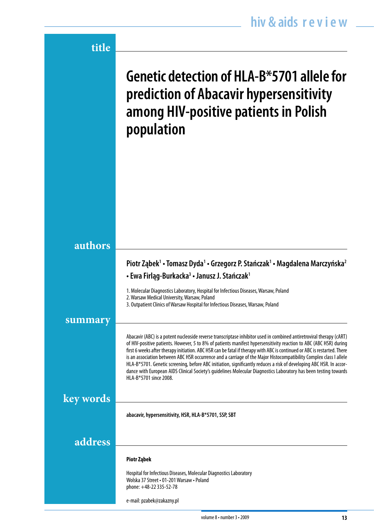| title          |                                                                                                                                                                                                                                                                                                                                                                                                                                                                                                                                                                                                                                                                                                                                                                   |
|----------------|-------------------------------------------------------------------------------------------------------------------------------------------------------------------------------------------------------------------------------------------------------------------------------------------------------------------------------------------------------------------------------------------------------------------------------------------------------------------------------------------------------------------------------------------------------------------------------------------------------------------------------------------------------------------------------------------------------------------------------------------------------------------|
|                | Genetic detection of HLA-B*5701 allele for<br>prediction of Abacavir hypersensitivity<br>among HIV-positive patients in Polish<br>population                                                                                                                                                                                                                                                                                                                                                                                                                                                                                                                                                                                                                      |
|                |                                                                                                                                                                                                                                                                                                                                                                                                                                                                                                                                                                                                                                                                                                                                                                   |
| <b>authors</b> |                                                                                                                                                                                                                                                                                                                                                                                                                                                                                                                                                                                                                                                                                                                                                                   |
|                | Piotr Ząbek <sup>1</sup> • Tomasz Dyda <sup>1</sup> • Grzegorz P. Stańczak <sup>1</sup> • Magdalena Marczyńska <sup>2</sup><br>• Ewa Firląg-Burkacka <sup>3</sup> • Janusz J. Stańczak <sup>1</sup>                                                                                                                                                                                                                                                                                                                                                                                                                                                                                                                                                               |
|                | 1. Molecular Diagnostics Laboratory, Hospital for Infectious Diseases, Warsaw, Poland                                                                                                                                                                                                                                                                                                                                                                                                                                                                                                                                                                                                                                                                             |
|                | 2. Warsaw Medical University, Warsaw, Poland<br>3. Outpatient Clinics of Warsaw Hospital for Infectious Diseases, Warsaw, Poland                                                                                                                                                                                                                                                                                                                                                                                                                                                                                                                                                                                                                                  |
| summary        |                                                                                                                                                                                                                                                                                                                                                                                                                                                                                                                                                                                                                                                                                                                                                                   |
|                | Abacavir (ABC) is a potent nucleoside reverse transcriptase inhibitor used in combined antiretroviral therapy (cART)<br>of HIV-positive patients. However, 5 to 8% of patients manifest hypersensitivity reaction to ABC (ABC HSR) during<br>first 6 weeks after therapy initiation. ABC HSR can be fatal if therapy with ABC is continued or ABC is restarted. There<br>is an association between ABC HSR occurrence and a carriage of the Major Histocompatibility Complex class I allele<br>HLA-B*5701. Genetic screening, before ABC initiation, significantly reduces a risk of developing ABC HSR. In accor-<br>dance with European AIDS Clinical Society's guidelines Molecular Diagnostics Laboratory has been testing towards<br>HI A-B*5701 since 2008. |
| key words      |                                                                                                                                                                                                                                                                                                                                                                                                                                                                                                                                                                                                                                                                                                                                                                   |
|                | abacavir, hypersensitivity, HSR, HLA-B*5701, SSP, SBT                                                                                                                                                                                                                                                                                                                                                                                                                                                                                                                                                                                                                                                                                                             |
| address        |                                                                                                                                                                                                                                                                                                                                                                                                                                                                                                                                                                                                                                                                                                                                                                   |
|                | Piotr Ząbek                                                                                                                                                                                                                                                                                                                                                                                                                                                                                                                                                                                                                                                                                                                                                       |
|                | Hospital for Infectious Diseases, Molecular Diagnostics Laboratory<br>Wolska 37 Street . 01-201 Warsaw . Poland<br>phone: +48-22 335-52-78                                                                                                                                                                                                                                                                                                                                                                                                                                                                                                                                                                                                                        |
|                | e-mail: pzabek@zakazny.pl                                                                                                                                                                                                                                                                                                                                                                                                                                                                                                                                                                                                                                                                                                                                         |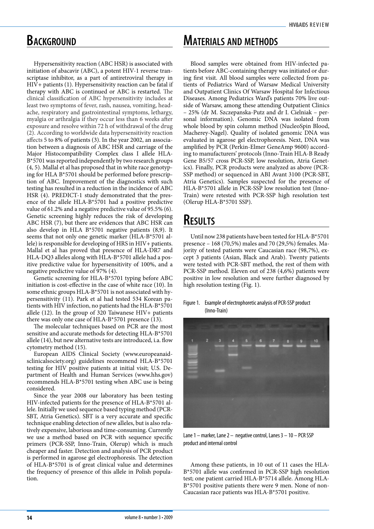### **BACKGROUND**

Hypersensitivity reaction (ABC HSR) is associated with initiation of abacavir (ABC), a potent HIV-1 reverse transcriptase inhibitor, as a part of antiretroviral therapy in HIV+ patients (1). Hypersensitivity reaction can be fatal if therapy with ABC is continued or ABC is restarted. The clinical classification of ABC hypersensitivity includes at least two symptoms of fever, rash, nausea, vomiting, headache, respiratory and gastrointestinal symptoms, lethargy, myalgia or arthralgia if they occur less than 6 weeks after exposure and resolve within 72 h of withdrawal of the drug (2). According to worldwide data hypersensitivity reaction affects 5 to 8% of patients (3). In the year 2002, an association between a diagnosis of ABC HSR and carriage of the Major Histocompatibility Complex class I allele HLA-B\*5701 was reported independently by two research groups (4, 5). Mallal et al has proposed that in white race genotyping for HLA B\*5701 should be performed before prescription of ABC. Improvement of the diagnostics with such testing has resulted in a reduction in the incidence of ABC HSR (4). PREDICT-1 study demonstrated that the presence of the allele HLA-B\*5701 had a positive predictive value of 61.2% and a negative predictive value of 95.5% (6). Genetic screening highly reduces the risk of developing ABC HSR (7), but there are evidences that ABC HSR can also develop in HLA B\*5701 negative patients (8,9). It seems that not only one genetic marker (HLA-B\*5701 allele) is responsible for developing of HRS in HIV+ patients. Mallal et al has proved that presence of HLA-DR7 and HLA-DQ3 alleles along with HLA-B\*5701 allele had a positive predictive value for hypersensitivity of 100%, and a negative predictive value of 97% (4).

Genetic screening for HLA-B\*5701 typing before ABC initiation is cost-effective in the case of white race (10). In some ethnic groups HLA-B\*5701 is not associated with hypersensitivity (11). Park et al had tested 534 Korean patients with HIV infection, no patients had the HLA-B\*5701 allele (12). In the group of  $320$  Taiwanese HIV+ patients there was only one case of HLA-B\*5701 presence (13).

The molecular techniques based on PCR are the most sensitive and accurate methods for detecting HLA-B\*5701 allele (14), but new alternative tests are introduced, i.a. flow cytometry method (15).

European AIDS Clinical Society (www.europeanaidsclinicalsociety.org) guidelines recommend HLA-B\*5701 testing for HIV positive patients at initial visit; U.S. Department of Health and Human Services (www.hhs.gov) recommends HLA-B\*5701 testing when ABC use is being considered.

Since the year 2008 our laboratory has been testing HIV-infected patients for the presence of HLA-B\*5701 allele. Initially we used sequence based typing method (PCR-SBT, Atria Genetics). SBT is a very accurate and specific technique enabling detection of new alleles, but is also relatively expensive, laborious and time-consuming. Currently we use a method based on PCR with sequence specific primers (PCR-SSP, Inno-Train, Olerup) which is much cheaper and faster. Detection and analysis of PCR product is performed in agarose gel electrophoresis. The detection of HLA-B\*5701 is of great clinical value and determines the frequency of presence of this allele in Polish population.

### **Materials and methods**

Blood samples were obtained from HIV-infected patients before ABC-containing therapy was initiated or during first visit. All blood samples were collected from patients of Pediatrics Ward of Warsaw Medical University and Outpatient Clinics Of Warsaw Hospital for Infectious Diseases. Among Pediatrics Ward's patients 70% live outside of Warsaw, among these attending Outpatient Clinics – 25% (dr M. Szczepanska-Putz and dr I. Cielniak – personal information). Genomic DNA was isolated from whole blood by spin column method (NucleoSpin Blood, Macherey-Nagel). Quality of isolated genomic DNA was evaluated in agarose gel electrophoresis. Next, DNA was amplified by PCR (Perkin-Elmer GeneAmp 9600) according to manufacturers' protocols (Inno-Train HLA-B Ready Gene B5/57 cross PCR-SSP, low resolution, Atria Genetics). Finally, PCR products were analyzed as above (PCR-SSP method) or sequenced in ABI Avant 3100 (PCR-SBT, Atria Genetics). Samples suspected for the presence of HLA-B\*5701 allele in PCR-SSP low resolution test (Inno-Train) were retested with PCR-SSP high resolution test (Olerup HLA-B\*5701 SSP).

# **Results**

Until now 238 patients have been tested for HLA-B\*5701 presence – 168 (70,5%) males and 70 (29,5%) females. Majority of tested patients were Caucasian race (98,7%), except 3 patients (Asian, Black and Arab). Twenty patients were tested with PCR-SBT method, the rest of them with PCR-SSP method. Eleven out of 238 (4,6%) patients were positive in low resolution and were further diagnosed by high resolution testing (Fig. 1).

#### Figure 1. Example of electrophoretic analysis of PCR-SSP product (Inno-Train)



Lane 1 – marker, Lane 2 – negative control, Lanes 3 – 10 – PCR SSP product and internal control

Among these patients, in 10 out of 11 cases the HLA-B\*5701 allele was confirmed in PCR-SSP high resolution test; one patient carried HLA-B\*5714 allele. Among HLA-B\*5701 positive patients there were 9 men. None of non-Caucasian race patients was HLA-B\*5701 positive.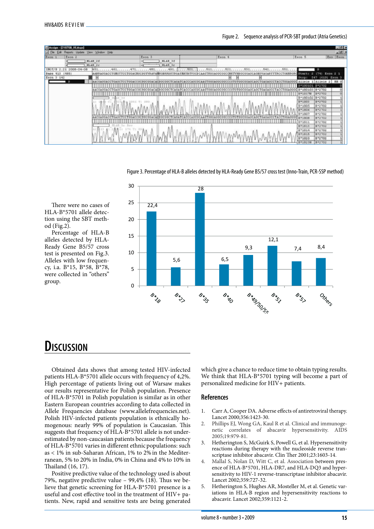

Figure 3. Percentage of HLA-B alleles detected by HLA-Ready Gene B5/57 cross test (Inno-Train, PCR-SSP method)



There were no cases of HLA-B\*5701 allele detection using the SBT method (Fig.2).

Percentage of HLA-B alleles detected by HLA-Ready Gene B5/57 cross test is presented on Fig.3. Alleles with low frequency, i.a. B\*15, B\*58, B\*78, were collected in "others' group.

# **Discussion**

Obtained data shows that among tested HIV-infected patients HLA-B\*5701 allele occurs with frequency of 4,2%. High percentage of patients living out of Warsaw makes our results representative for Polish population. Presence of HLA-B\*5701 in Polish population is similar as in other Eastern European countries according to data collected in Allele Frequencies database (www.allelefrequencies.net). Polish HIV-infected patients population is ethnically homogenous: nearly 99% of population is Caucasian. This suggests that frequency of HLA-B\*5701 allele is not underestimated by non-caucasian patients because the frequency of HLA-B\*5701 varies in different ethnicpopulations: such as  $< 1\%$  in sub-Saharan African, 1% to 2% in the Mediterranean, 5% to 20% in India, 0% in China and 4%to 10% in Thailand (16, 17).

Positive predictive value of the technology used is about 79%, negative predictive value – 99,4% (18). Thus we believe that genetic screening for HLA-B\*5701 presence is a useful and cost effective tool in the treatment of HIV+ patients. New, rapid and sensitive tests are being generated which give a chance to reduce time to obtain typing results. We think that HLA-B\*5701 typing will become a part of personalized medicine for HIV+ patients.

#### **References**

- 1. Carr A, Cooper DA. Adverse effects of antiretroviral therapy. Lancet 2000;356:1423-30.
- 2. Phillips EJ, Wong GA, Kaul R et al. Clinical and immunogenetic correlates of abacavir hypersensitivity. AIDS 2005;19:979-81.
- 3. Hetherington S, McGuirk S, Powell G, et al. Hypersensitivity reactions during therapy with the nucleoside reverse transcriptase inhibitor abacavir. Clin Ther 2001;23:1603-14.
- 4. Mallal S, Nolan D, Witt C, et al. Association between presence of HLA-B\*5701, HLA-DR7, and HLA-DQ3 and hypersensitivity to HIV-1 reverse-transcriptase inhibitor abacavir. Lancet 2002;359:727-32.
- 5. Hetherington S, Hughes AR, Mosteller M, et al. Genetic variations in HLA-B region and hypersensitivity reactions to abacavir. Lancet 2002;359:1121-2.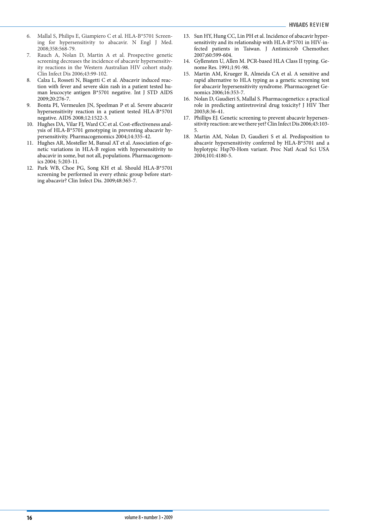- 6. Mallal S, Philips E, Giampiero C et al. HLA-B\*5701 Screening for hypersensitivity to abacavir. N Engl J Med. 2008;358:568-79.
- 7. Rauch A, Nolan D, Martin A et al. Prospective genetic screening decreases the incidence of abacavir hypersensitivity reactions in the Western Australian HIV cohort study. Clin Infect Dis 2006;43:99-102.
- 8. Calza L, Rosseti N, Biagetti C et al. Abacavir induced reaction with fever and severe skin rash in a patient tested human leucocyte antigen B\*5701 negative. Int J STD AIDS 2009;20:276-7.
- 9. Bonta PI, Vermeulen JN, Speelman P et al. Severe abacavir hypersensitivity reaction in a patient tested HLA-B\*5701 negative. AIDS 2008;12:1522-3.
- 10. Hughes DA, Vilar FJ, Ward CC et al. Cost-effectiveness analysis of HLA-B\*5701 genotyping in preventing abacavir hypersensitivity. Pharmacogenomics 2004;14:335-42.
- 11. Hughes AR, Mosteller M, Bansal AT et al. Association of genetic variations in HLA-B region with hypersensitivity to abacavir in some, but not all, populations. Pharmacogenomics 2004; 5:203-11.
- 12. Park WB, Choe PG, Song KH et al. Should HLA-B\*5701 screening be performed in every ethnic group before starting abacavir? Clin Infect Dis. 2009;48:365-7.
- 13. Sun HY, Hung CC, Lin PH et al. Incidence of abacavir hypersensitivity and its relationship with HLA-B\*5701 in HIV-infected patients in Taiwan. J Antimicrob Chemother. 2007;60:599-604.
- 14. Gyllensten U, Allen M. PCR-based HLA Class II typing. Genome Res. 1991;1:91-98.
- 15. Martin AM, Krueger R, Almeida CA et al. A sensitive and rapid alternative to HLA typing as a genetic screening test for abacavir hypersensitivity syndrome. Pharmacogenet Genomics 2006;16:353-7.
- 16. Nolan D, Gaudieri S, Mallal S. Pharmacogenetics: a practical role in predicting antiretroviral drug toxicity? J HIV Ther 2003;8:36-41.
- 17. Phillips EJ. Genetic screening to prevent abacavir hypersensitivity reaction: are we there yet? Clin Infect Dis 2006;43:103- 5.
- 18. Martin AM, Nolan D, Gaudieri S et al. Predisposition to abacavir hypersensitivity conferred by HLA-B\*5701 and a hyplotypic Hsp70-Hom variant. Proc Natl Acad Sci USA 2004;101:4180-5.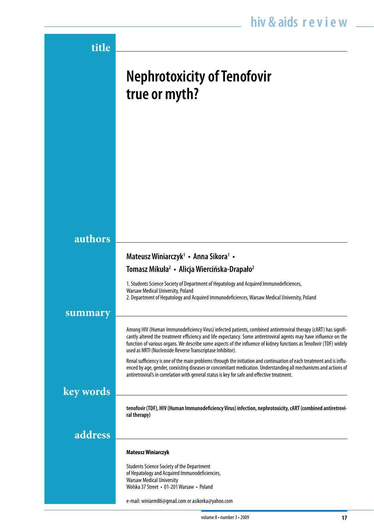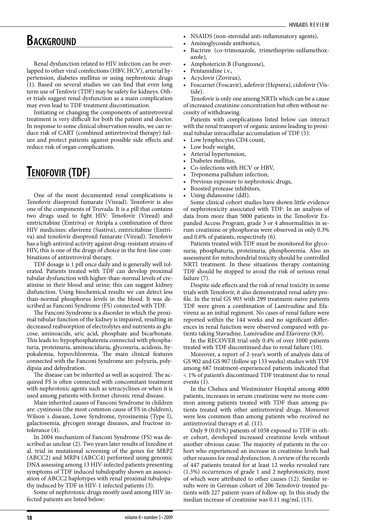### **BACKGROUND**

Renal dysfunction related to HIV infection can be overlapped to other viral coinfections (HBV, HCV), arterial hypertension, diabetes mellitus or using nephrotoxic drugs (1). Based on several studies we can find that even long term use of Tenfovir (TDF) may be safety for kidneys. Other trials suggest renal dysfunction as a main complication may even lead to TDF treatment discontinuation.

Initiating or changing the components of antiretroviral treatment is very difficult for both the patient and doctor. In response to some clinical observation results, we can reduce risk of CART (combined antiretroviral therapy) failure and protect patients against possible side effects and reduce risk of organ complications.

### **Tenofovir (TDF)**

One of the most documented renal complications is Tenofovir disoproxil fumarate (Viread). Tenofovir is also one of the components of Truvada. It is a pill that contains two drugs used to fight HIV: Tenofovir (Viread) and emtricitabine (Emtriva) or Atripla a combination of three HIV medicines: efavirenz (Sustiva), emtricitabine (Emtriva) and tenofovir disoproxil fumarate (Viread). Tenofovir has a high antiviral activity against drug-resistant strains of HIV, this is one of the drugs of choice in the first-line combinations of antiretroviral therapy.

TDF dosage is 1 pill once daily and is generally well tolerated. Patients treated with TDF can develop proximal tubular dysfunction with higher-than-normal levels of creatinine in their blood and urine; this can suggest kidney disfunction. Using biochemical results we can detect less than-normal phosphorus levels in the blood. It was described as Fanconi Syndrome (FS) connected with TDF.

The Fanconi Syndrome is a disorder in which the proximal tubular function of the kidney is impaired, resulting in decreased reabsorption of electrolytes and nutrients as glucose, aminoacids, uric acid, phosphate and bicarbonate. This leads to: hypophosphatemia connected with phosphaturia, proteinuria, aminoaciduria, glycosuria, acidosis, hypokalemia, hyperchloremia. The main clinical features connected with the Fanconi Syndrome are: polyuria, polydipsia and dehydration.

The disease can be inherited as well as acquired. The acquired FS is often connected with concomitant treatment with nephrotoxic agents such as tetracyclines or when it is used among patients with former chronic renal disease.

Main inherited causes of Fanconi Syndrome in children are: cystinosis (the most common cause of FS in children), Wilson`s disease, Lowe Syndrome, tyrosinemia (Type I), galactosemia, glycogen storage diseases, and fructose intolerance (4).

In 2004 mechanizm of Fanconi Syndrome (FS) was described as unclear (2). Two years later results of Izzedine et al. trial in mutational screening of the genes for MRP2 (ABCC2) and MRP4 (ABCC4) performed using genomic DNA assessing among 13 HIV-infected patients presenting symptoms of TDF induced tubulopathy shown an assosciation of ABCC2 haplotypes with renal proximal tubulopathy induced by TDF in HIV-1 infected patients (3).

Some of nephrotoxic drugs mostly used among HIV infected patients are listed below:

- NSAIDS (non-steroidal anti-inflammatory agents),
- Aminoglycoside antibiotics,
- Bactrim (co-trimoxazole, trimethoprim-sulfamethoxazole),
- Amphotericin B (Fungizone),
- Pentamidine i.v.,
- Acyclovir (Zovirax),
- Foscarnet (Foscavir), adefovir (Hepsera), cidofovir (Vistide).

Tenofovir is only one among NRTIs which can be a cause of increased creatinine concentration but often without necessity of withdrawing.

Patients with complications listed below can interact with the renal transport of organic anions leading to proximal tubular intracellular accumulation of TDF (5):

- Low lymphocytes CD4 count,
- Low body weight,
- Arterial hypertension,
- Diabetes mellitus,
- Co-infections with HCV or HBV,
- Treponema pallidum infection,
- Previous exposure to nephrotoxic drugs,
- Boosted protease inhibitors,
- Using didanosine (ddI).

Some clinical cohort studies have shown little evidence of nephrotoxicity associated with TDF: In an analysis of data from more than 5000 patients in the Tenofovir Expanded Access Program, grade 3 or 4 abnormalities in serum creatinine or phosphorus were observed in only 0.3% and 0.6% of patients, respectively (6).

Patients treated with TDF must be monitored for glycosuria, phosphaturia, proteinuria, phosphoremia. Also an assessment for mitochondrial toxicity should be controlled NRTI treatment. In these situations therapy containing TDF should be stopped to avoid the risk of serious renal failure (7).

Despite side effects and the risk of renal toxicity in some trials with Tenofovir, it also demonstrated renal safety profile. In the trial GS 903 with 299 treatment-naive patients TDF were given a combination of Lamivudine and Efavirenz as an initial regiment. No cases of renal failure were reported within the 144 weeks and no significant differences in renal function were observed compared with patients taking Stavudine, Lamivudine and Efavirenz (8,9).

In the RECOVER trial only 0.4% of over 1000 patients treated with TDF discontinued due to renal failure (10).

Moreover, a report of 2-year's worth of analysis data of GS 902 and GS 907 (follow up 133 weeks) studies with TDF among 687 treatment-experienced patients indicated that < 1% of patient's discontinued TDF treatment due to renal events (1).

In the Chelsea and Westminster Hospital among 4000 patients, increases in serum creatinine were no more common among patients treated with TDF than among patients treated with other antiretroviral drugs. Moreover were less common than among patients who received no antiretroviral therapy et al. (11).

Only 9 (0.01%) patients of 1058 exposed to TDF in other cohort, developed increased creatinine levels without another obvious cause. The majority of patients in the cohort who experienced an increase in creatinine levels had other reasons for renal dysfunction. A review of the records of 447 patients treated for at least 12 weeks revealed rare (1.3%) occurrences of grade 1 and 2 nephrotoxicity, most of which were attributed to other causes (12). Similar results were in German cohort of 206 Tenofovir-treated patients with 227 patient-years of follow-up. In this study the median increase of creatinine was 0.11 mg/mL (13).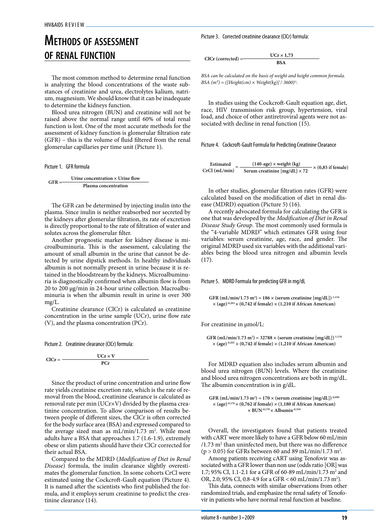### **Methods of assessment of renal function**

The most common method to determine renal function is analyzing the blood concentrations of the waste substances of creatinine and urea, electrolytes kalium, natrium, magnesium. We should know that it can be inadequate to determine the kidneys function.

Blood urea nitrogen (BUN) and creatinine will not be raised above the normal range until 60% of total renal function is lost. One of the most accurate methods for the assessment of kidney function is glomerular filtration rate (GFR) – this is the volume of fluid filtered from the renal glomerular capillaries per time unit (Picture 1).

Picture 1. GFR formula

**GFR = Urine concentration × Urine flow Plasma concentration**

The GFR can be determined by injecting inulin into the plasma. Since inulin is neither reabsorbed nor secreted by the kidneys after glomerular filtration, its rate of excretion is directly proportional to the rate of filtration of water and solutes across the glomerular filter.

Another prognostic marker for kidney disease is microalbuminuria. This is the assessment, calculating the amount of small albumin in the urine that cannot be detected by urine dipstick methods. In healthy individuals albumin is not normally present in urine because it is retained in the bloodstream by the kidneys. Microalbuminuria is diagnostically confirmed when albumin flow is from 20 to 200 µg/min in 24-hour urine collection. Macroalbuminuria is when the albumin result in urine is over 300 mg/L.

Creatinine clearance (ClCr) is calculated as creatinine concentration in the urine sample (UCr), urine flow rate (V), and the plasma concentration (PCr).

Picture 2. Creatinine clearance (ClCr) formula:

 $CICr = \n\begin{array}{ccc}\n\text{UCr} \times \text{V}\n\end{array}$ **PCr**

Since the product of urine concentration and urine flow rate yields creatinine excretion rate, which is the rate of removal from the blood, creatinine clearance is calculated as removal rate per min (UCr×V) divided by the plasma creatinine concentration. To allow comparison of results between people of different sizes, the ClCr is often corrected for the body surface area (BSA) and expressed compared to the average sized man as  $mL/min/1.73$  m<sup>2</sup>. While most adults have a BSA that approaches 1.7 (1.6-1.9), extremely obese or slim patients should have their ClCr corrected for their actual BSA.

Compared to the MDRD (*Modification of Diet in Renal Disease*) formula, the inulin clearance slightly overestimates the glomerular function. In some cohorts CrCl were estimated using the Cockcroft-Gault equation (Picture 4). It is named after the scientists who first published the formula, and it employs serum creatinine to predict the creatinine clearance (14).

Picture 3. Corrected creatinine clearance (ClCr) formula:

 $CICr$  (corrected) =  $\frac{UCr \times 1.73}{R}$ **BSA**

*BSA can be calculated on the basis of weight and height common formula. BSA*  $(m^2) = ([Height(cm) \times Weight(kg)] / 3600)^{1/2}$ .

In studies using the Cockcroft-Gault equation age, diet, race, HIV transmission risk group, hypertension, viral load, and choice of other antiretroviral agents were not associated with decline in renal function (15).

Picture 4. Cockcroft-Gault Formula for Predicting Creatinine Clearance

**Estimated**  Estimated<br>CrCl (mL/min) =  $\frac{(140\text{-age}) \times \text{weight (kg)}}{\text{Serum creationine [mg/dL]} \times 72} \times (0.85 \text{ if female})$ 

In other studies, glomerular filtration rates (GFR) were calculated based on the modification of diet in renal disease (MDRD) equation (Picture 5) (16).

A recently advocated formula for calculating the GFR is one that was developed by the *Modification of Diet in Renal Disease Study Group*. The most commonly used formula is the "4-variable MDRD" which estimates GFR using four variables: serum creatinine, age, race, and gender. The original MDRD used six variables with the additional variables being the blood urea nitrogen and albumin levels (17).

Picture 5. MDRD Formula for predicting GFR in mg/dL

**GFR**  $(mL/min/1.73 \text{ m}^2) = 186 \times (\text{serum creationine [mg/dL]})^{-1,154}$ **× (age)-0,203 × (0,742 if female) × (1,210 if African American)**

For creatinine in  $\mu$ mol/L:

**GFR**  $(mL/min/1.73 \text{ m}^2) = 32788 \times (\text{serum creationine [mg/dL]})^{-1,154}$  $\times$  (age)<sup>-0,203</sup>  $\times$  (0,742 if female)  $\times$  (1,210 if African American)

For MDRD equation also includes serum albumin and blood urea nitrogen (BUN) levels. Where the creatinine and blood urea nitrogen concentrations are both in mg/dL. The albumin concentration is in g/dL.

GFR  $(mL/min/1.73 \text{ m}^2) = 170 \times (serum creationine [mg/dL])^{-0,999}$ **× (age)-0,176 × (0,762 if female) × (1,180 if African American)**   $\times$  BUN<sup>-0,170</sup> $\times$  Albumin<sup>-0,318</sup>

Overall, the investigators found that patients treated with cART were more likely to have a GFR below 60 mL/min  $/1.73$  m<sup>2</sup> than uninfected men, but there was no difference  $(p > 0.05)$  for GFRs between 60 and 89 mL/min/1.73 m<sup>2</sup>.

Among patients receiving cART using Tenofovir was associated with a GFR lower than non use (odds ratio [OR] was 1.7; 95% CI, 1.1-2.1 for a GFR of 60-89 mL/min/1.73 m<sup>2</sup> and OR, 2.0; 95% CI, 0.8-4.9 for a GFR < 60 mL/min/1.73 m2 ).

This data, connects with similar observations from other randomized trials, and emphasize the renal safety of Tenofovir in patients who have normal renal function at baseline.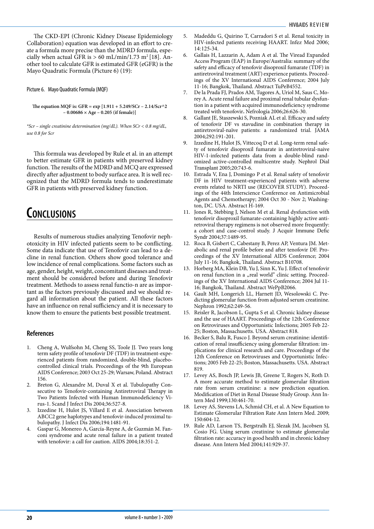The CKD-EPI (Chronic Kidney Disease Epidemiology Collaboration) equation was developed in an effort to create a formula more precise than the MDRD formula, especially when actual GFR is  $> 60$  mL/min/1.73 m<sup>2</sup> [18]. Another tool to calculate GFR is estimated GFR (eGFR) is the Mayo Quadratic Formula (Picture 6) (19):

Picture 6. Mayo Quadratic Formula (MQF)

**The equation MQF is: GFR = exp [1.911 + 5.249/SCr – 2.14/Scr^2 – 0.00686 × Age – 0.205 (if female)]**

*\*Scr – single creatinine determination (mg/dL). When SCr < 0.8 mg/dL, use 0.8 for Scr*

This formula was developed by Rule et al. in an attempt to better estimate GFR in patients with preserved kidney function. The results of the MDRD and MCQ are expressed directly after adjustment to body surface area. It is well recognized that the MDRD formula tends to underestimate GFR in patients with preserved kidney function.

### **Conclusions**

Results of numerous studies analyzing Tenofovir nephotoxicity in HIV infected patients seem to be conflicting. Some data indicate that use of Tenofovir can lead to a decline in renal function. Others show good tolerance and low incidence of renal complications. Some factors such as age, gender, height, weight, concomitant diseases and treatment should be considered before and during Tenofovir treatment. Methods to assess renal functio-n are as important as the factors previously discussed and we should regard all information about the patient. All these factors have an influence on renal sufficiency and it is necessary to know them to ensure the patients best possible treatment.

#### **References**

- 1. Cheng A, Wulfsohn M, Cheng SS, Toole JJ. Two years long term safety profile of tenofovir DF (TDF) in treatment-experienced patients from randomized, double-blind, placebocontrolled clinical trials. Proceedings of the 9th European AIDS Conference; 2003 Oct 25-29; Warsaw, Poland. Abstract 156.
- 2. Breton G, Alexandre M, Duval X et al. Tubulopathy Consecutive to Tenofovir-containing Antiretroviral Therapy in Two Patients Infected with Human Immunodeficiency Virus-1. Scand J Infect Dis 2004;36:527-8.
- 3. Izzedine H, Hulot JS, Villard E et al. Association between ABCC2 gene haplotypes and tenofovir-induced proximal tubulopathy. J Infect Dis 2006;194:1481-91.
- 4. Gaspar G, Monereo A, García-Reyne A, de Guzmán M. Fanconi syndrome and acute renal failure in a patient treated with tenofovir: a call for caution. AIDS 2004;18:351-2.
- 5. Madeddu G, Quirino T, Carradori S et al. Renal toxicity in HIV-infected patients receiving HAART. Infez Med 2006; 14:125-34.
- 6. Gallais H, Lazzarin A, Adam A et al. The Viread Expanded Access Program (EAP) in Europe/Australia: summary of the safety and efficacy of tenofovir disoproxil fumarate (TDF) in antiretroviral treatment (ART) experience patients. Proceedings of the XV International AIDS Conference; 2004 July 11-16; Bangkok, Thailand. Abstract TuPeB4552.
- 7. De la Prada FJ, Prados AM, Tugores A, Uriol M, Saus C, Morey A. Acute renal failure and proximal renal tubular dysfuntion in a patient with acquired immunodeficiency syndrome treated with tenofovir**.** Nefrología 2006;26:626-30.
- 8. Gallant JE, Staszewski S, Pozniak AL et al. Efficacy and safety of tenofovir DF vs stavudine in combination therapy in antiretroviral-naïve patients: a randomized trial. JAMA 2004;292:191-201.
- 9. Izzedine H, Hulot JS, Vittecoq D et al. Long-term renal safety of tenofovir disoproxil fumarate in antiretroviral-naive HIV-1-infected patients data from a double-blind randomized active-controlled multicentre study. Nephrol Dial Transplant 2005;20:743-6.
- 10. Estrada V, Ena J, Domingo P et al. Renal safety of tenofovir DF in HIV treatment-experienced patients with adverse events related to NRTI use (RECOVER STUDY). Proceedings of the 44th Interscience Conference on Antimicrobial Agents and Chemotherapy; 2004 Oct 30 - Nov 2; Washington, DC. USA. Abstract H-169.
- 11. Jones R, Stebbing J, Nelson M et al. Renal dysfunction with tenofovir disoproxil fumarate-containing highly active antiretroviral therapy regimens is not observed more frequently: a cohort and case-control study. J Acquir Immune Defic Syndr 2004;37:1489-95.
- 12. Roca B, Gisbert C, Cabestany B, Perez AP, Ventura JM. Metabolic and renal profile before and after tenofovir DF. Proceedings of the XV International AIDS Conference; 2004 July 11-16; Bangkok, Thailand. Abstract B10708.
- 13. Horberg MA, Klein DB, Yu J, Sinn K, Yu J. Effect of tenofovir on renal function in a "real world" clinic setting. Proceedings of the XV International AIDS Conference; 2004 Jul 11- 16; Bangkok, Thailand. Abstract WePpB2066.
- 14. Gault MH, Longerich LL, Harnett JD, Wesolowski C. Predicting glomerular function from adjusted serum creatinine. Nephron 1992;62:249-56.
- 15. Reisler R, Jacobson L, Gupta S et al. Chronic kidney disease and the use of HAART. Proceedings of the 12th Conference on Retroviruses and Opportunistic Infections; 2005 Feb 22- 25; Boston, Massachusetts. USA. Abstract 818.
- 16. Becker S, Balu R, Fusco J. Beyond serum creatinine: identification of renal insufficiency using glomerular filtration: implications for clinical research and care. Proceedings of the 12th Conference on Retroviruses and Opportunistic Infections; 2005 Feb 22-25; Boston, Massachusetts. USA. Abstract 819.
- 17. Levey AS, Bosch JP, Lewis JB, Greene T, Rogers N, Roth D. A more accurate method to estimate glomerular filtration rate from serum creatinine: a new prediction equation. Modification of Diet in Renal Disease Study Group. Ann Intern Med 1999;130:461-70.
- 18. Levey AS, Stevens LA, Schmid CH, et al. A New Equation to Estimate Glomerular Filtration Rate Ann Intern Med. 2009; 150:604-12.
- 19. Rule AD, Larson TS, Bergstralh EJ, Slezak JM, Jacobsen SJ, Cosio FG. Using serum creatinine to estimate glomerular filtration rate: accuracy in good health and in chronic kidney disease. Ann Intern Med 2004;141:929-37.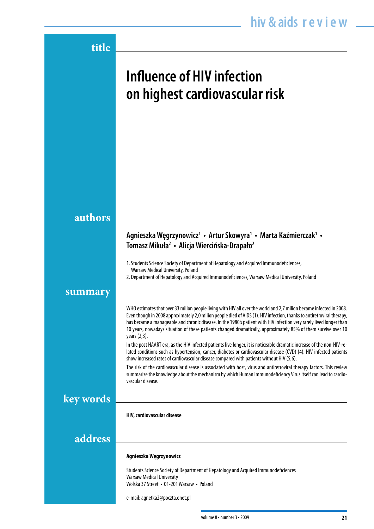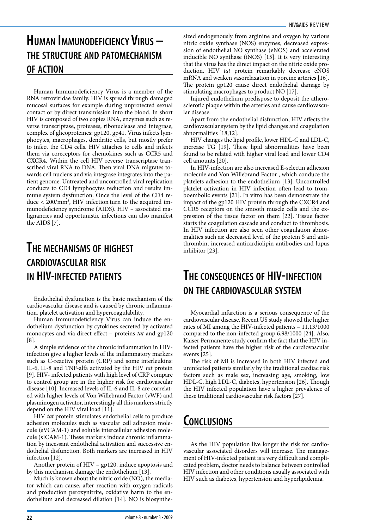# **Human Immunodeficiency Virus – the structure and patomechanism of action**

Human Immunodeficiency Virus is a member of the RNA retroviridae family. HIV is spread through damaged mucosal surfaces for example during unprotected sexual contact or by direct transmission into the blood. In short HIV is composed of two copies RNA, enzymes such as reverse transcriptase, proteases, ribonuclease and integrase, complex of glicoproteines: gp120, gp41. Virus infects lymphocytes, macrophages, dendritic cells, but mostly prefer to infect the CD4 cells. HIV attaches to cells and infects them via coreceptors for chemokines such as CCR5 and CXCR4. Within the cell HIV reverse transcriptase transcribed viral RNA to DNA. Then viral DNA migrates towards cell nucleus and via integrase integrates into the patient genome. Untreated and uncontrolled viral replication conducts to CD4 lymphocytes reduction and results immune system dysfunction. Once the level of the CD4 reduce < 200/mm3 , HIV infection turn to the acquired immunodeficiency syndrome (AIDS). HIV – associated malignancies and opportunistic infections can also manifest the AIDS [7].

### **The mechanisms of highest cardiovascular risk in HIV-infected patients**

Endothelial dysfunction is the basic mechanism of the cardiovascular disease and is caused by chronic inflammation, platelet activation and hypercoagulability.

Human Immunodeficiency Virus can induce the endothelium dysfunction by cytokines secreted by activated monocytes and via direct effect – proteins *tat* and gp120 [8].

A simple evidence of the chronic inflammation in HIVinfection give a higher levels of the inflammatory markers such as C-reactive protein (CRP) and some interleukins: IL-6, IL-8 and TNF-alfa activated by the HIV *tat* protein [9]. HIV- infected patients with high level of CRP compare to control group are in the higher risk for cardiovascular disease [10]. Increased levels of IL-6 and IL-8 are correlated with higher levels of Von Willebrand Factor (vWF) and plasminogen activator, interestingly all this markers strictly depend on the HIV viral load [11].

HIV *tat* protein stimulates endothelial cells to produce adhesion molecules such as vascular cell adhesion molecule (sVCAM-1) and soluble intercellular adhesion molecule (sICAM-1). These markers induce chronic inflammation by incessant endothelial activation and successive endothelial disfunction. Both markers are increased in HIV infection [12].

Another protein of HIV – gp120, induce apoptosis and by this mechanism damage the endothelium [13].

Much is known about the nitric oxide (NO), the mediator which can cause, after reaction with oxygen radicals and production peroxynitrite, oxidative harm to the endothelium and decreased dilation [14]. NO is biosynthesized endogenously from arginine and oxygen by various nitric oxide synthase (NOS) enzymes, decreased expression of endothelial NO synthase (eNOS) and accelerated inducible NO synthase (iNOS) [15]. It is very interesting that the virus has the direct impact on the nitric oxide production. HIV *tat* protein remarkably decrease eNOS mRNA and weaken vasorelaxation in porcine arteries [16]. The protein gp120 cause direct endothelial damage by stimulating macrophages to product NO [17].

Injured endothelium predispose to deposit the atherosclerotic plaque within the arteries and cause cardiovascular disease.

Apart from the endothelial disfunction, HIV affects the cardiovascular system by the lipid changes and coagulation abnormalities [18,12].

HIV changes the lipid profile, lower HDL-C and LDL-C, increase TG [19]. These lipid abnormalities have been found to be related with higher viral load and lower CD4 cell amounts [20].

In HIV-infection are also increased E-selectin adhesion molecule and Von Willebrand Factor , which conduce the platelets adhesion to the endothelium [13]. Uncontrolled platelet activation in HIV infection often lead to tromboembolic events [21]. In vitro has been demonstrate the impact of the gp120 HIV protein through the CXCR4 and CCR5 receptors on the smooth muscle cells and the expression of the tissue factor on them [22]. Tissue factor starts the coagulation cascade and conduct to thrombosis. In HIV infection are also seen other coagulation abnormalities such as: decreased level of the protein S and antithrombin, increased anticardiolipin antibodies and lupus inhibitor [23].

### **The consequences of HIV-infection on the cardiovascular system**

Myocardial infarction is a serious consequence of the cardiovascular disease. Recent US study showed the higher rates of MI among the HIV-infected patients – 11,13/1000 compared to the non-infected group 6,98/1000 [24]. Also, Kaiser Permanente study confirm the fact that the HIV infected patients have the higher risk of the cardiovascular events [25].

The risk of MI is increased in both HIV infected and uninfected patients similarly by the traditional cardiac risk factors such as male sex, increasing age, smoking, low HDL-C, high LDL-C, diabetes, hypertension [26]. Though the HIV infected population have a higher prevalence of these traditional cardiovascular risk factors [27].

# **Conclusions**

As the HIV population live longer the risk for cardiovascular associated disorders will increase. The management of HIV-infected patient is a very difficult and complicated problem, doctor needs to balance between controlled HIV infection and other conditions usually associated with HIV such as diabetes, hypertension and hyperlipidemia.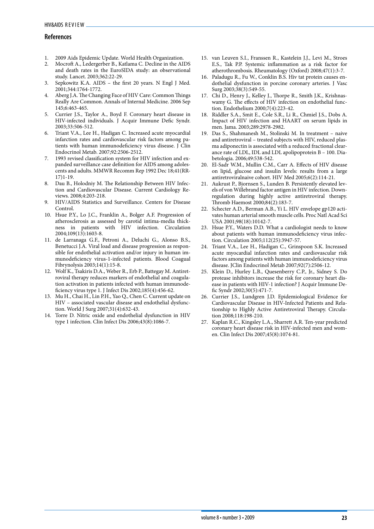#### **References**

- 1. 2009 Aids Epidemic Update. World Health Organization.
- 2. Mocroft A., Ledergerber B., Katlama C. Decline in the AIDS and death rates in the EuroSIDA study: an observational study. Lancet. 2003;362:22-29.
- 3. Sepkowitz K.A. AIDS the first 20 years. N Engl J Med. 2001;344:1764-1772.
- 4. Aberg J.A. The Changing Face of HIV Care: Common Things Really Are Common. Annals of Internal Medicine. 2006 Sep 145;6:463-465.
- 5. Currier J.S., Taylor A., Boyd F. Coronary heart disease in HIV-infected individuals. J Acquir Immune Defic Syndr. 2003;33:506-512.
- Triant V.A., Lee H., Hadigan C. Increased acute myocardial infarction rates and cardiovascular risk factors among patients with human immunodeficiency virus disease. J Clin Endocrinol Metab. 2007;92:2506-2512.
- 7. 1993 revised classification system for HIV infection and expanded surveillance case definition for AIDS among adolescents and adults. MMWR Recomm Rep 1992 Dec 18;41(RR-17)1-19.
- 8. Dau B., Holodniy M. The Relationship Between HIV Infection and Cardiovascular Disease. Current Cardiology Reviews. 2008;4:203-218.
- 9. HIV/AIDS Statistics and Surveillance. Centers for Disease Control.
- 10. Hsue P.Y., Lo J.C., Franklin A., Bolger A.F. Progression of atherosclerosis as assessed by carotid intima-media thickness in patients with HIV infection. Circulation 2004;109(13):1603-8.
- 11. de Larranaga G.F., Petroni A., Deluchi G., Alonso B.S., Benetucci J.A. Viral load and disease progression as responsible for endothelial activation and/or injury in human immunodeficiency virus-1-infected patients. Blood Coagual Fibrynolysis 2003;14(1):15-8.
- 12. Wolf K., Tsakiris D.A., Weber R., Erb P., Battegay M. Antiretroviral therapy reduces markers of endothelial and coagulation activation in patients infected with human immunodeficiency virus type 1. J Infect Dis 2002;185(4):456-62.
- 13. Mu H., Chai H., Lin P.H., Yao Q., Chen C. Current update on HIV – associated vascular disease and endothelial dysfunction. World J Surg 2007;31(4):632-43.
- 14. Torre D. Nitric oxide and endothelial dysfunction in HIV type 1 infection. Clin Infect Dis 2006;43(8):1086-7.
- 15. van Leuven S.I., Franssen R., Kastelein J.J., Levi M., Stroes E.S., Tak P.P. Systemic inflammation as a risk factor for atherothrombosis. Rheumatology (Oxford) 2008;47(1):3-7.
- 16. Paladugu R., Fu W., Conklin B.S. Hiv tat protein causes endothelial dysfunction in porcine coronary arteries. J Vasc Surg 2003;38(3):549-55.
- 17. Chi D., Henry J., Kelley J., Thorpe R., Smith J.K., Krishnaswamy G. The effects of HIV infection on endothelial function. Endothelium 2000;7(4):223-42.
- 18. Riddler S.A., Smit E., Cole S.R., Li R., Chmiel J.S., Dobs A. Impact of HIV infection and HAART on serum lipids in men. Jama. 2003;289:2978-2982.
- 19. Das S., Shahmanesh M., Stolinski M. In treatment naive and antiretroviral – treated subjects with HIV, reduced plasma adiponectin is associated with a reduced fractional clearance rate of LDL, IDL and LDL apolipoprotein B – 100. Diabetologia. 2006;49:538-542.
- 20. El-Sadr W.M., Mullin C.M., Carr A. Effects of HIV disease on lipid, glucose and insulin levels: results from a large antiretroviralnaive cohort. HIV Med 2005;6(2):114-21.
- 21. Aukrust P., Bjornsen S., Lunden B. Persistently elevated levels of von Willebrand factor antigen in HIV infection. Downregulation during highly active antiretroviral therapy. Thromb Haemost 2000;84(2):183-7.
- 22. Schecter A.D., Berman A.B., Yi L. HIV envelope gp120 activates human arterial smooth muscle cells. Proc Natl Acad Sci USA 2001;98(18):10142-7.
- 23. Hsue P.Y., Waters D.D. What a cardiologist needs to know about patients with human immunodeficiency virus infection. Circulation 2005;112(25):3947-57.
- 24. Triant V.A., Lee H., Hadigan C., Grinspoon S.K. Increased acute myocardial infarction rates and cardiovascular risk factors among patients with human immunodeficiency virus disease. JClin Endocrinol Metab 2007;92(7):2506-12.
- 25. Klein D., Hurley L.B., Quesenberry C.P., Jr., Sidney S. Do protease inhibitors increase the risk for coronary heart disease in patients with HIV-1 infection? J Acquir Immune Defic Syndr 2002;30(5):471-7.
- 26. Currier J.S., Lundgren J.D. Epidemiological Evidence for Cardiovascular Disease in HIV-Infected Patients and Relationship to Highly Active Antiretroviral Therapy. Circulation 2008;118:198-210.
- 27. Kaplan R.C., Kingsley L.A., Sharrett A.R. Ten-year predicted coronary heart disease risk in HIV-infected men and women. Clin Infect Dis 2007;45(8):1074-81.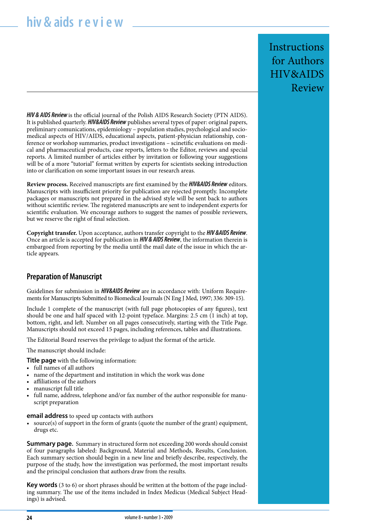# **hiv & aids r e v i e w**

**Instructions** for Authors HIV&AIDS Review

*HIV & AIDS Review* is the official journal of the Polish AIDS Research Society (PTN AIDS). It is published quarterly. *HIV&AIDS Review* publishes several types of paper: original papers, preliminary comunications, epidemiology – population studies, psychological and sociomedical aspects of HIV/AIDS, educational aspects, patient-physician relationship, conference or workshop summaries, product investigations – scinetific evaluations on medical and pharmaceutical products, case reports, letters to the Editor, reviews and special reports. A limited number of articles either by invitation or following your suggestions will be of a more "tutorial" format written by experts for scientists seeking introduction into or clarification on some important issues in our research areas.

**Review process.** Received manuscripts are first examined by the *HIV&AIDS Review* editors. Manuscripts with insufficient priority for publication are rejected promptly. Incomplete packages or manuscripts not prepared in the advised style will be sent back to authors without scientific review. The registered manuscripts are sent to independent experts for scientific evaluation. We encourage authors to suggest the names of possible reviewers, but we reserve the right of final selection.

**Copyright transfer.** Upon acceptance, authors transfer copyright to the *HIV &AIDS Review*. Once an article is accepted for publication in *HIV & AIDS Review*, the information therein is embargoed from reporting by the media until the mail date of the issue in which the article appears.

### **Preparation of Manuscript**

Guidelines for submission in *HIV&AIDS Review* are in accordance with: Uniform Requirements for Manuscripts Submitted to Biomedical Journals (N Eng J Med, 1997; 336: 309-15).

Include 1 complete of the manuscript (with full page photocopies of any figures), text should be one and half spaced with 12-point typeface. Margins: 2.5 cm (1 inch) at top, bottom, right, and left. Number on all pages consecutively, starting with the Title Page. Manuscripts should not exceed 15 pages, including references, tables and illustrations.

The Editorial Board reserves the privilege to adjust the format of the article.

The manuscript should include:

**Title page** with the following information:

- • full names of all authors
- name of the department and institution in which the work was done
- affiliations of the authors
- manuscript full title
- full name, address, telephone and/or fax number of the author responsible for manuscript preparation

**email address** to speed up contacts with authors

source(s) of support in the form of grants (quote the number of the grant) equipment, drugs etc.

**Summary page.** Summary in structured form not exceeding 200 words should consist of four paragraphs labeled: Background, Material and Methods, Results, Conclusion. Each summary section should begin in a new line and briefly describe, respectively, the purpose of the study, how the investigation was performed, the most important results and the principal conclusion that authors draw from the results.

**Key words** (3 to 6) or short phrases should be written at the bottom of the page including summary. The use of the items included in Index Medicus (Medical Subject Headings) is advised.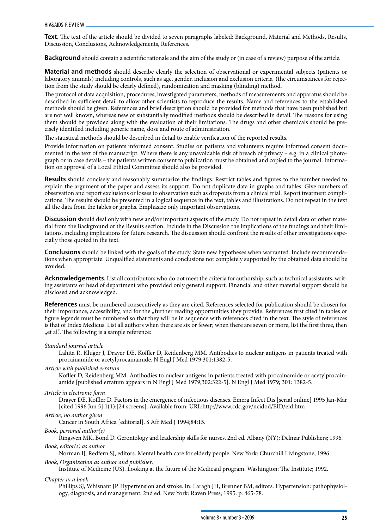**Text.** The text of the article should be divided to seven paragraphs labeled: Background, Material and Methods, Results, Discussion, Conclusions, Acknowledgements, References.

**Background** should contain a scientific rationale and the aim of the study or (in case of a review) purpose of the article.

**Material and methods** should describe clearly the selection of observational or experimental subjects (patients or laboratory animals) including controls, such as age, gender, inclusion and exclusion criteria (the circumstances for rejection from the study should be clearly defined), randomization and masking (blinding) method.

The protocol of data acquisition, procedures, investigated parameters, methods of measurements and apparatus should be described in sufficient detail to allow other scientists to reproduce the results. Name and references to the established methods should be given. References and brief description should be provided for methods that have been published but are not well known, whereas new or substantially modified methods should be described in detail. The reasons for using them should be provided along with the evaluation of their limitations. The drugs and other chemicals should be precisely identified including generic name, dose and route of administration.

The statistical methods should be described in detail to enable verification of the reported results.

Provide information on patients informed consent. Studies on patients and volunteers require informed consent documented in the text of the manuscript. Where there is any unavoidable risk of breach of privacy – e.g. in a clinical photograph or in case details – the patients written consent to publication must be obtained and copied to the journal. Information on approval of a Local Ethical Committee should also be provided.

**Results** should concisely and reasonably summarize the findings. Restrict tables and figures to the number needed to explain the argument of the paper and assess its support. Do not duplicate data in graphs and tables. Give numbers of observation and report exclusions or losses to observation such as dropouts from a clinical trial. Report treatment complications. The results should be presented in a logical sequence in the text, tables and illustrations. Do not repeat in the text all the data from the tables or graphs. Emphasize only important observations.

**Discussion** should deal only with new and/or important aspects of the study. Do not repeat in detail data or other material from the Background or the Results section. Include in the Discussion the implications of the findings and their limitations, including implications for future research. The discussion should confront the results of other investigations especially those quoted in the text.

**Conclusions** should be linked with the goals of the study. State new hypotheses when warranted. Include recommendations when appropriate. Unqualified statements and conclusions not completely supported by the obtained data should be avoided.

**Acknowledgements.** List all contributors who do not meet the criteria for authorship, such as technical assistants, writing assistants or head of department who provided only general support. Financial and other material support should be disclosed and acknowledged.

**References** must be numbered consecutively as they are cited. References selected for publication should be chosen for their importance, accessibility, and for the "further reading opportunities they provide. References first cited in tables or figure legends must be numbered so that they will be in sequence with references cited in the text. The style of references is that of Index Medicus. List all authors when there are six or fewer; when there are seven or more, list the first three, then "et al.". The following is a sample reference:

#### *Standard journal article*

Lahita R, Kluger J, Drayer DE, Koffler D, Reidenberg MM. Antibodies to nuclear antigens in patients treated with procainamide or acetylprocainamide. N Engl J Med 1979;301:1382-5.

#### *Article with published erratum*

Koffler D, Reidenberg MM. Antibodies to nuclear antigens in patients treated with procainamide or acetylprocainamide [published erratum appears in N Engl J Med 1979;302:322-5]. N Engl J Med 1979; 301: 1382-5.

#### *Article in electronic form*

Drayer DE, Koffler D. Factors in the emergence of infectious diseases. Emerg Infect Dis [serial online] 1995 Jan-Mar [cited 1996 Jun 5];1(1):[24 screens]. Available from: URL:http://www.cdc.gov/ncidod/EID/eid.htm

#### *Article, no author given*

Cancer in South Africa [editorial]. S Afr Med J 1994;84:15.

*Book, personal author(s)*

Ringsven MK, Bond D. Gerontology and leadership skills for nurses. 2nd ed. Albany (NY): Delmar Publishers; 1996.

#### *Book, editor(s) as author*

Norman IJ, Redfern SJ, editors. Mental health care for elderly people. New York: Churchill Livingstone; 1996.

#### *Book, Organization as author and publisher:*

Institute of Medicine (US). Looking at the future of the Medicaid program. Washington: The Institute; 1992.

#### *Chapter in a book*

Phillips SJ, Whisnant JP. Hypertension and stroke. In: Laragh JH, Brenner BM, editors. Hypertension: pathophysiology, diagnosis, and management. 2nd ed. New York: Raven Press; 1995. p. 465-78.